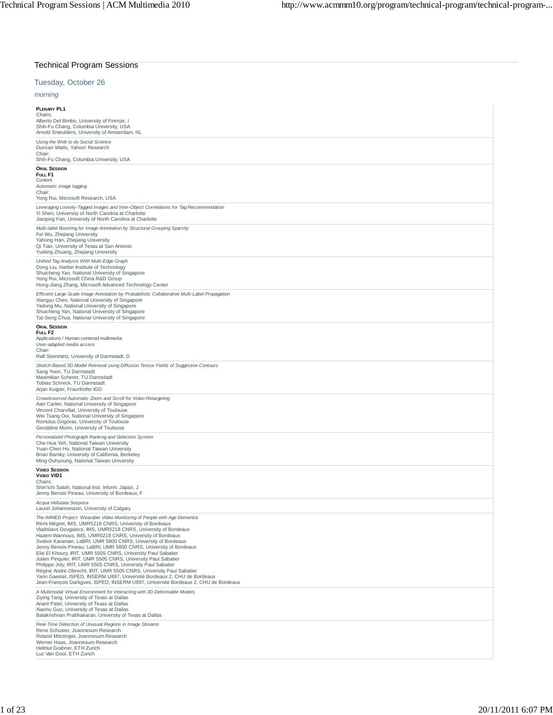| <b>Technical Program Sessions</b>                                                                                                                                                                                                                                                                                                                                                                                                                                                                                                                                                                                                                                                                                                                                                                                                                                                                                           |
|-----------------------------------------------------------------------------------------------------------------------------------------------------------------------------------------------------------------------------------------------------------------------------------------------------------------------------------------------------------------------------------------------------------------------------------------------------------------------------------------------------------------------------------------------------------------------------------------------------------------------------------------------------------------------------------------------------------------------------------------------------------------------------------------------------------------------------------------------------------------------------------------------------------------------------|
| Tuesday, October 26                                                                                                                                                                                                                                                                                                                                                                                                                                                                                                                                                                                                                                                                                                                                                                                                                                                                                                         |
| morning                                                                                                                                                                                                                                                                                                                                                                                                                                                                                                                                                                                                                                                                                                                                                                                                                                                                                                                     |
| <b>PLENARY PL1</b><br>Chairs:<br>Alberto Del Bimbo, University of Firenze, I<br>Shih-Fu Chang, Columbia University, USA<br>Arnold Smeulders, University of Amsterdam, NL                                                                                                                                                                                                                                                                                                                                                                                                                                                                                                                                                                                                                                                                                                                                                    |
| Using the Web to do Social Science<br>Duncan Watts, Yahoo! Research<br>Chair:<br>Shih-Fu Chang, Columbia University, USA                                                                                                                                                                                                                                                                                                                                                                                                                                                                                                                                                                                                                                                                                                                                                                                                    |
| <b>ORAL SESSION</b><br>FULL F1<br>Content<br>Automatic image tagging<br>Chair:                                                                                                                                                                                                                                                                                                                                                                                                                                                                                                                                                                                                                                                                                                                                                                                                                                              |
| Yong Rui, Microsoft Research, USA<br>Leveraging Loosely-Tagged Images and Inter-Object Correlations for Tag Recommendation<br>Yi Shen, University of North Carolina at Charlotte<br>Jianping Fan, University of North Carolina at Charlotte                                                                                                                                                                                                                                                                                                                                                                                                                                                                                                                                                                                                                                                                                 |
| Multi-label Boosting for Image Annotation by Structural Grouping Sparsity<br>Fei Wu, Zhejiang University<br>Yahong Han, Zhejiang University<br>Qi Tian, University of Texas at San Antonio<br>Yueting Zhuang, Zhejiang University                                                                                                                                                                                                                                                                                                                                                                                                                                                                                                                                                                                                                                                                                           |
| Unified Tag Analysis With Multi-Edge Graph<br>Dong Liu, Harbin Institute of Technology<br>Shuicheng Yan, National University of Singapore<br>Yong Rui, Microsoft China R&D Group<br>Hong-Jiang Zhang, Microsoft Advanced Technology Center                                                                                                                                                                                                                                                                                                                                                                                                                                                                                                                                                                                                                                                                                  |
| Efficient Large-Scale Image Annotation by Probabilistic Collaborative Multi-Label Propagation<br>Xiangyu Chen, National University of Singapore<br>Yadong Mu, National University of Singapore<br>Shuicheng Yan, National University of Singapore<br>Tat-Seng Chua, National University of Singapore                                                                                                                                                                                                                                                                                                                                                                                                                                                                                                                                                                                                                        |
| <b>ORAL SESSION</b><br>FULL F <sub>2</sub><br>Applications / Human-centered multimedia<br>User-adapted media access<br>Chair:<br>Ralf Steinmetz, University of Darmstadt, D                                                                                                                                                                                                                                                                                                                                                                                                                                                                                                                                                                                                                                                                                                                                                 |
| Sketch-Based 3D Model Retrieval using Diffusion Tensor Fields of Suggestive Contours<br>Sang Yoon, TU Darmstadt<br>Maximilian Scherer, TU Darmstadt<br>Tobias Schreck, TU Darmstadt<br>Arjan Kuijper, Fraunhofer IGD                                                                                                                                                                                                                                                                                                                                                                                                                                                                                                                                                                                                                                                                                                        |
| Crowdsourced Automatic Zoom and Scroll for Video Retargeting<br>Axel Carlier, National University of Singapore<br>Vincent Charvillat, University of Toulouse<br>Wei Tsang Ooi, National University of Singapore<br>Romulus Grigoras, University of Toulouse<br>Geraldine Morin, University of Toulouse                                                                                                                                                                                                                                                                                                                                                                                                                                                                                                                                                                                                                      |
| Personalized Photograph Ranking and Selection System<br>Che-Hua Yeh, National Taiwan University<br>Yuan-Chen Ho, National Taiwan University<br>Brian Barsky, University of California, Berkeley<br>Ming Ouhyoung, National Taiwan University                                                                                                                                                                                                                                                                                                                                                                                                                                                                                                                                                                                                                                                                                |
| <b>VIDEO SESSION</b><br><b>VIDEO VID1</b><br>Chairs:<br>Shin'ichi Satoh, National Inst. Inform. Japan, J<br>Jenny Benois Pineau, University of Bordeaux, F                                                                                                                                                                                                                                                                                                                                                                                                                                                                                                                                                                                                                                                                                                                                                                  |
| Acqua Vellutata Sospesa<br>Laurel Johannesson, University of Calgary<br>The IMMED Project: Wearable Video Monitoring of People with Age Dementia<br>Rémi Mégret, IMS, UMR5218 CNRS, University of Bordeaux<br>Vladislavs Dovgalecs, IMS, UMR5218 CNRS, University of Bordeaux<br>Hazem Wannous, IMS, UMR5218 CNRS, University of Bordeaux<br>Svebor Karaman, LaBRI, UMR 5800 CNRS, University of Bordeaux<br>Jenny Benois-Pineau, LaBRI, UMR 5800 CNRS, University of Bordeaux<br>Elie El Khoury, IRIT, UMR 5505 CNRS, University Paul Sabatier<br>Julien Pinquier, IRIT, UMR 5505 CNRS, University Paul Sabatier<br>Philippe Joly, IRIT, UMR 5505 CNRS, University Paul Sabatier<br>Régine André-Obrecht, IRIT, UMR 5505 CNRS, University Paul Sabatier<br>Yann Gaestel, ISPED, INSERM U897, Université Bordeaux 2, CHU de Bordeaux<br>Jean-François Dartigues, ISPED, INSERM U897, Université Bordeaux 2, CHU de Bordeaux |
| A Multimodal Virtual Environment for Interacting with 3D Deformable Models<br>Ziying Tang, University of Texas at Dallas<br>Anant Patel, University of Texas at Dallas<br>Xiaohu Guo, University of Texas at Dallas<br>Balakrishnan Prabhakaran, University of Texas at Dallas                                                                                                                                                                                                                                                                                                                                                                                                                                                                                                                                                                                                                                              |
| Real-Time Detection of Unusual Regions in Image Streams<br>Rene Schuster, Joannesum Research<br>Roland Mörzinger, Joannesum Research<br>Werner Haas, Joannesum Research<br>Helmut Grabner, ETH Zurich<br>Luc Van Gool, ETH Zurich                                                                                                                                                                                                                                                                                                                                                                                                                                                                                                                                                                                                                                                                                           |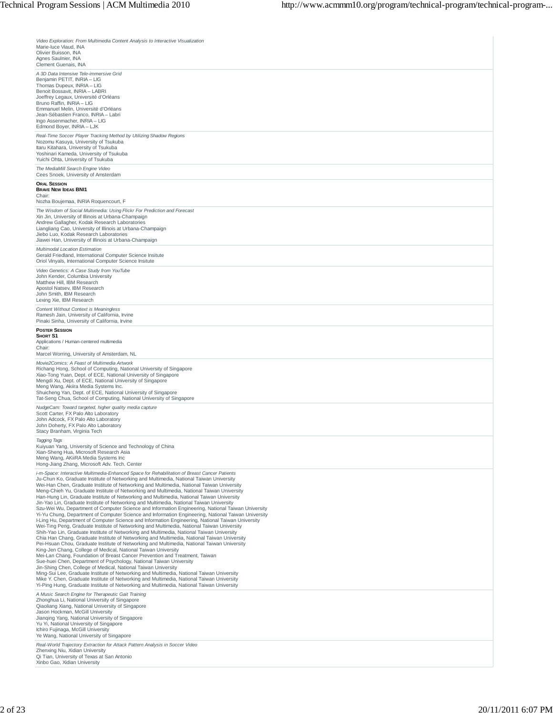| Video Exploration: From Multimedia Content Analysis to Interactive Visualization<br>Marie-luce Viaud, INA<br>Olivier Buisson, INA<br>Agnes Saulnier, INA<br>Clement Guenais, INA                                                                                                                                                                                                                                                                                                                                                                                                                                                                                                                                                                                                                                                                                                                                                                                                                                                                                                                                                                                                                                                                                                                                                                                                                                                                                                                                                                                                                                                                                                                                                                                                                                                                                                                                                |
|---------------------------------------------------------------------------------------------------------------------------------------------------------------------------------------------------------------------------------------------------------------------------------------------------------------------------------------------------------------------------------------------------------------------------------------------------------------------------------------------------------------------------------------------------------------------------------------------------------------------------------------------------------------------------------------------------------------------------------------------------------------------------------------------------------------------------------------------------------------------------------------------------------------------------------------------------------------------------------------------------------------------------------------------------------------------------------------------------------------------------------------------------------------------------------------------------------------------------------------------------------------------------------------------------------------------------------------------------------------------------------------------------------------------------------------------------------------------------------------------------------------------------------------------------------------------------------------------------------------------------------------------------------------------------------------------------------------------------------------------------------------------------------------------------------------------------------------------------------------------------------------------------------------------------------|
| A 3D Data Intensive Tele-immersive Grid<br>Benjamin PETIT, INRIA - LIG<br>Thomas Dupeux, INRIA - LIG<br>Benoit Bossavit, INRIA - LABRI<br>Joeffrey Legaux, Université d'Orléans<br>Bruno Raffin, INRIA - LIG<br>Emmanuel Melin, Université d'Orléans<br>Jean-Sébastien Franco, INRIA - Labri<br>Ingo Assenmacher, INRIA - LIG<br>Edmond Boyer, INRIA - LJK                                                                                                                                                                                                                                                                                                                                                                                                                                                                                                                                                                                                                                                                                                                                                                                                                                                                                                                                                                                                                                                                                                                                                                                                                                                                                                                                                                                                                                                                                                                                                                      |
| Real-Time Soccer Player Tracking Method by Utilizing Shadow Regions<br>Nozomu Kasuya, University of Tsukuba<br>Itaru Kitahara, University of Tsukuba<br>Yoshinari Kameda, University of Tsukuba<br>Yuichi Ohta, University of Tsukuba                                                                                                                                                                                                                                                                                                                                                                                                                                                                                                                                                                                                                                                                                                                                                                                                                                                                                                                                                                                                                                                                                                                                                                                                                                                                                                                                                                                                                                                                                                                                                                                                                                                                                           |
| The MediaMill Search Engine Video<br>Cees Snoek, University of Amsterdam                                                                                                                                                                                                                                                                                                                                                                                                                                                                                                                                                                                                                                                                                                                                                                                                                                                                                                                                                                                                                                                                                                                                                                                                                                                                                                                                                                                                                                                                                                                                                                                                                                                                                                                                                                                                                                                        |
| <b>ORAL SESSION</b><br><b>BRAVE NEW IDEAS BNI1</b><br>Chair:                                                                                                                                                                                                                                                                                                                                                                                                                                                                                                                                                                                                                                                                                                                                                                                                                                                                                                                                                                                                                                                                                                                                                                                                                                                                                                                                                                                                                                                                                                                                                                                                                                                                                                                                                                                                                                                                    |
| Nozha Boujemaa, INRIA Roquencourt, F<br>The Wisdom of Social Multimedia: Using Flickr For Prediction and Forecast<br>Xin Jin, University of Illinois at Urbana-Champaign<br>Andrew Gallagher, Kodak Research Laboratories<br>Liangliang Cao, University of Illinois at Urbana-Champaign<br>Jiebo Luo, Kodak Research Laboratories<br>Jiawei Han, University of Illinois at Urbana-Champaign<br>Multimodal Location Estimation<br>Gerald Friedland, International Computer Science Insitute                                                                                                                                                                                                                                                                                                                                                                                                                                                                                                                                                                                                                                                                                                                                                                                                                                                                                                                                                                                                                                                                                                                                                                                                                                                                                                                                                                                                                                      |
| Oriol Vinyals, International Computer Science Insitute<br>Video Genetics: A Case Study from YouTube<br>John Kender, Columbia University<br>Matthew Hill, IBM Research<br>Apostol Natsev, IBM Research<br>John Smith, IBM Research<br>Lexing Xie, IBM Research                                                                                                                                                                                                                                                                                                                                                                                                                                                                                                                                                                                                                                                                                                                                                                                                                                                                                                                                                                                                                                                                                                                                                                                                                                                                                                                                                                                                                                                                                                                                                                                                                                                                   |
| Content Without Context is Meaningless<br>Ramesh Jain, University of California, Irvine<br>Pinaki Sinha, University of California, Irvine                                                                                                                                                                                                                                                                                                                                                                                                                                                                                                                                                                                                                                                                                                                                                                                                                                                                                                                                                                                                                                                                                                                                                                                                                                                                                                                                                                                                                                                                                                                                                                                                                                                                                                                                                                                       |
| <b>POSTER SESSION</b><br>SHORT S1<br>Applications / Human-centered multimedia<br>Chair:<br>Marcel Worring, University of Amsterdam, NL                                                                                                                                                                                                                                                                                                                                                                                                                                                                                                                                                                                                                                                                                                                                                                                                                                                                                                                                                                                                                                                                                                                                                                                                                                                                                                                                                                                                                                                                                                                                                                                                                                                                                                                                                                                          |
| Movie2Comics: A Feast of Multimedia Artwork<br>Richang Hong, School of Computing, National University of Singapore<br>Xiao-Tong Yuan, Dept. of ECE, National University of Singapore<br>Mengdi Xu, Dept. of ECE, National University of Singapore<br>Meng Wang, Akiira Media Systems Inc.<br>Shuicheng Yan, Dept. of ECE, National University of Singapore<br>Tat-Seng Chua, School of Computing, National University of Singapore                                                                                                                                                                                                                                                                                                                                                                                                                                                                                                                                                                                                                                                                                                                                                                                                                                                                                                                                                                                                                                                                                                                                                                                                                                                                                                                                                                                                                                                                                              |
| NudgeCam: Toward targeted, higher quality media capture<br>Scott Carter, FX Palo Alto Laboratory<br>John Adcock, FX Palo Alto Laboratory<br>John Doherty, FX Palo Alto Laboratory<br>Stacy Branham, Virginia Tech                                                                                                                                                                                                                                                                                                                                                                                                                                                                                                                                                                                                                                                                                                                                                                                                                                                                                                                                                                                                                                                                                                                                                                                                                                                                                                                                                                                                                                                                                                                                                                                                                                                                                                               |
| Tagging Tags<br>Kuiyuan Yang, University of Science and Technology of China<br>Xian-Sheng Hua, Microsoft Research Asia<br>Meng Wang, AKiiRA Media Systems Inc<br>Hong-Jiang Zhang, Microsoft Adv. Tech. Center                                                                                                                                                                                                                                                                                                                                                                                                                                                                                                                                                                                                                                                                                                                                                                                                                                                                                                                                                                                                                                                                                                                                                                                                                                                                                                                                                                                                                                                                                                                                                                                                                                                                                                                  |
| i-m-Space: Interactive Multimedia-Enhanced Space for Rehabilitation of Breast Cancer Patients<br>Ju-Chun Ko, Graduate Institute of Networking and Multimedia, National Taiwan University<br>Wei-Han Chen, Graduate Institute of Networking and Multimedia, National Taiwan University<br>Meng-Chieh Yu, Graduate Institute of Networking and Multimedia, National Taiwan University<br>Han-Hung Lin, Graduate Institute of Networking and Multimedia, National Taiwan University<br>Jin-Yao Lin, Graduate Institute of Networking and Multimedia, National Taiwan University<br>Szu-Wei Wu, Department of Computer Science and Information Engineering, National Taiwan University<br>Yi-Yu Chung, Department of Computer Science and Information Engineering, National Taiwan University<br>I-Ling Hu, Department of Computer Science and Information Engineering, National Taiwan University<br>Wei-Ting Peng, Graduate Institute of Networking and Multimedia, National Taiwan University<br>Shih-Yao Lin, Graduate Institute of Networking and Multimedia, National Taiwan University<br>Chia Han Chang, Graduate Institute of Networking and Multimedia, National Taiwan University<br>Pei-Hsuan Chou. Graduate Institute of Networking and Multimedia. National Taiwan University<br>King-Jen Chang, College of Medical, National Taiwan University<br>Mei-Lan Chang, Foundation of Breast Cancer Prevention and Treatment, Taiwan<br>Sue-huei Chen, Department of Psychology, National Taiwan University<br>Jin-Shing Chen, College of Medical, National Taiwan University<br>Ming-Sui Lee, Graduate Institute of Networking and Multimedia, National Taiwan University<br>Mike Y. Chen, Graduate Institute of Networking and Multimedia, National Taiwan University<br>Yi-Ping Hung, Graduate Institute of Networking and Multimedia, National Taiwan University<br>A Music Search Engine for Therapeutic Gait Training |
| Zhonghua Li, National University of Singapore<br>Qiaoliang Xiang, National University of Singapore<br>Jason Hockman, McGill University<br>Jianging Yang, National University of Singapore<br>Yu Yi, National University of Singapore<br>Ichiro Fujinaga, McGill University<br>Ye Wang, National University of Singapore                                                                                                                                                                                                                                                                                                                                                                                                                                                                                                                                                                                                                                                                                                                                                                                                                                                                                                                                                                                                                                                                                                                                                                                                                                                                                                                                                                                                                                                                                                                                                                                                         |
| Real-World Trajectory Extraction for Attack Pattern Analysis in Soccer Video<br>Zhenxing Niu, Xidian University<br>Qi Tian, University of Texas at San Antonio<br>Xinbo Gao, Xidian University                                                                                                                                                                                                                                                                                                                                                                                                                                                                                                                                                                                                                                                                                                                                                                                                                                                                                                                                                                                                                                                                                                                                                                                                                                                                                                                                                                                                                                                                                                                                                                                                                                                                                                                                  |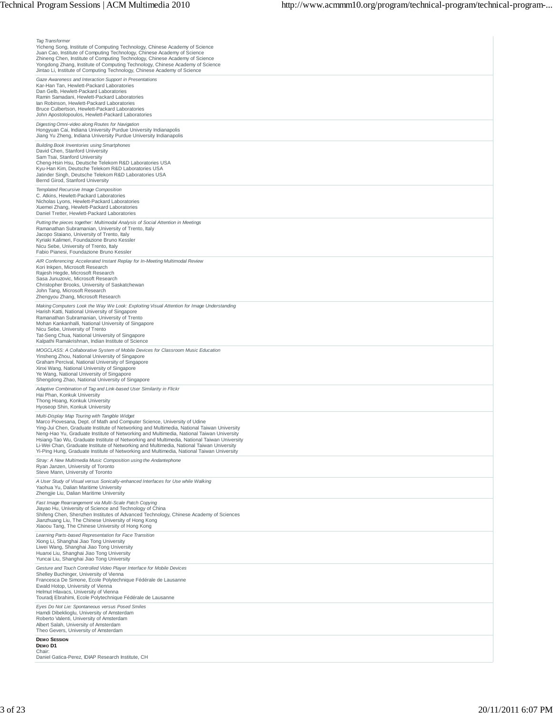| <b>Tag Transformer</b><br>Yicheng Song, Institute of Computing Technology, Chinese Academy of Science<br>Juan Cao, Institute of Computing Technology, Chinese Academy of Science<br>Zhineng Chen, Institute of Computing Technology, Chinese Academy of Science<br>Yongdong Zhang, Institute of Computing Technology, Chinese Academy of Science<br>Jintao Li, Institute of Computing Technology, Chinese Academy of Science                                                                                                                                                                                |
|-------------------------------------------------------------------------------------------------------------------------------------------------------------------------------------------------------------------------------------------------------------------------------------------------------------------------------------------------------------------------------------------------------------------------------------------------------------------------------------------------------------------------------------------------------------------------------------------------------------|
| Gaze Awareness and Interaction Support in Presentations<br>Kar-Han Tan, Hewlett-Packard Laboratories<br>Dan Gelb, Hewlett-Packard Laboratories<br>Ramin Samadani, Hewlett-Packard Laboratories<br>lan Robinson, Hewlett-Packard Laboratories<br>Bruce Culbertson, Hewlett-Packard Laboratories<br>John Apostolopoulos, Hewlett-Packard Laboratories                                                                                                                                                                                                                                                         |
| Digesting Omni-video along Routes for Navigation<br>Hongyuan Cai, Indiana University Purdue University Indianapolis<br>Jiang Yu Zheng, Indiana University Purdue University Indianapolis                                                                                                                                                                                                                                                                                                                                                                                                                    |
| <b>Building Book Inventories using Smartphones</b><br>David Chen, Stanford University<br>Sam Tsai, Stanford University<br>Cheng-Hsin Hsu, Deutsche Telekom R&D Laboratories USA<br>Kyu-Han Kim, Deutsche Telekom R&D Laboratories USA<br>Jatinder Singh, Deutsche Telekom R&D Laboratories USA<br>Bernd Girod, Stanford University                                                                                                                                                                                                                                                                          |
| Templated Recursive Image Composition<br>C. Atkins, Hewlett-Packard Laboratories<br>Nicholas Lyons, Hewlett-Packard Laboratories<br>Xuemei Zhang, Hewlett-Packard Laboratories<br>Daniel Tretter, Hewlett-Packard Laboratories                                                                                                                                                                                                                                                                                                                                                                              |
| Putting the pieces together: Multimodal Analysis of Social Attention in Meetings<br>Ramanathan Subramanian, University of Trento, Italy<br>Jacopo Staiano, University of Trento, Italy<br>Kyriaki Kalimeri, Foundazione Bruno Kessler<br>Nicu Sebe, University of Trento, Italy<br>Fabio Pianesi, Foundazione Bruno Kessler                                                                                                                                                                                                                                                                                 |
| AIR Conferencing: Accelerated Instant Replay for In-Meeting Multimodal Review<br>Kori Inkpen, Microsoft Research<br>Rajesh Hegde, Microsoft Research<br>Sasa Junuzovic, Microsoft Research<br>Christopher Brooks, University of Saskatchewan<br>John Tang, Microsoft Research<br>Zhengyou Zhang, Microsoft Research                                                                                                                                                                                                                                                                                         |
| Making Computers Look the Way We Look: Exploiting Visual Attention for Image Understanding<br>Harish Katti, National University of Singapore<br>Ramanathan Subramanian, University of Trento<br>Mohan Kankanhalli, National University of Singapore<br>Nicu Sebe, University of Trento<br>Tat-Seng Chua, National University of Singapore<br>Kalpathi Ramakrishnan, Indian Institute of Science                                                                                                                                                                                                             |
| MOGCLASS: A Collaborative System of Mobile Devices for Classroom Music Education<br>Yinsheng Zhou, National University of Singapore<br>Graham Percival, National University of Singapore<br>Xinxi Wang, National University of Singapore<br>Ye Wang, National University of Singapore<br>Shengdong Zhao, National University of Singapore                                                                                                                                                                                                                                                                   |
| Adaptive Combination of Tag and Link-based User Similarity in Flickr<br>Hai Phan, Konkuk University<br>Thong Hoang, Konkuk University<br>Hyoseop Shin, Konkuk University                                                                                                                                                                                                                                                                                                                                                                                                                                    |
| Multi-Display Map Touring with Tangible Widget<br>Marco Piovesana, Dept. of Math and Computer Science, University of Udine<br>Ying-Jui Chen, Graduate Institute of Networking and Multimedia, National Taiwan University<br>Neng-Hao Yu, Graduate Institute of Networking and Multimedia, National Taiwan University<br>Hsiang-Tao Wu, Graduate Institute of Networking and Multimedia, National Taiwan University<br>Li-Wei Chan, Graduate Institute of Networking and Multimedia, National Taiwan University<br>Yi-Ping Hung, Graduate Institute of Networking and Multimedia, National Taiwan University |
| Stray: A New Multimedia Music Composition using the Andantephone<br>Ryan Janzen, University of Toronto<br>Steve Mann, University of Toronto                                                                                                                                                                                                                                                                                                                                                                                                                                                                 |
| A User Study of Visual versus Sonically-enhanced Interfaces for Use while Walking<br>Yaohua Yu, Dalian Maritime University<br>Zhengjie Liu, Dalian Maritime University                                                                                                                                                                                                                                                                                                                                                                                                                                      |
| Fast Image Rearrangement via Multi-Scale Patch Copying<br>Jiayao Hu, University of Science and Technology of China<br>Shifeng Chen, Shenzhen Institutes of Advanced Technology, Chinese Academy of Sciences<br>Jianzhuang Liu, The Chinese University of Hong Kong<br>Xiaoou Tang, The Chinese University of Hong Kong                                                                                                                                                                                                                                                                                      |
| Learning Parts-based Representation for Face Transition<br>Xiong Li, Shanghai Jiao Tong University<br>Liwei Wang, Shanghai Jiao Tong University<br>Huanxi Liu, Shanghai Jiao Tong University<br>Yuncai Liu, Shanghai Jiao Tong University                                                                                                                                                                                                                                                                                                                                                                   |
| Gesture and Touch Controlled Video Player Interface for Mobile Devices<br>Shelley Buchinger, University of Vienna<br>Francesca De Simone, Ecole Polytechnique Fédérale de Lausanne<br>Ewald Hotop, University of Vienna<br>Helmut Hlavacs, University of Vienna<br>Touradj Ebrahimi, Ecole Polytechnique Fédérale de Lausanne                                                                                                                                                                                                                                                                               |
| Eyes Do Not Lie: Spontaneous versus Posed Smiles<br>Hamdi Dibeklioglu, University of Amsterdam<br>Roberto Valenti, University of Amsterdam<br>Albert Salah, University of Amsterdam<br>Theo Gevers, University of Amsterdam                                                                                                                                                                                                                                                                                                                                                                                 |
| <b>DEMO SESSION</b><br>DEMO <sub>D1</sub><br>Chair:<br>Daniel Gatica-Perez, IDIAP Research Institute, CH                                                                                                                                                                                                                                                                                                                                                                                                                                                                                                    |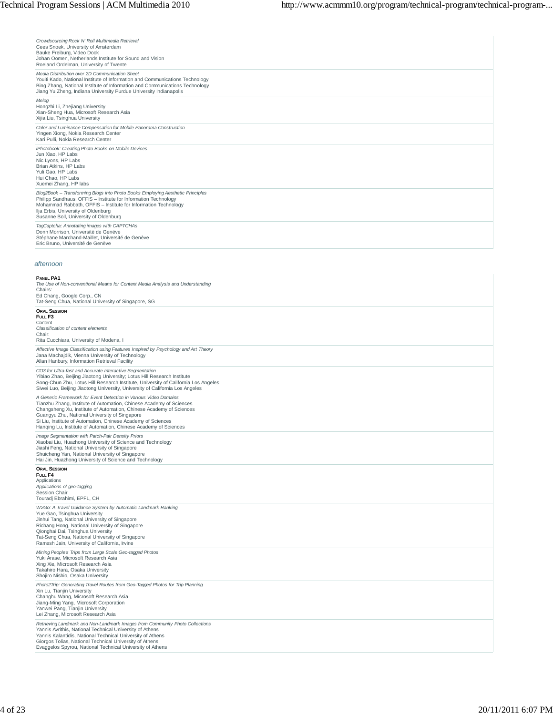| Crowdsourcing Rock N' Roll Multimedia Retrieval<br>Cees Snoek, University of Amsterdam<br>Bauke Freiburg, Video Dock<br>Johan Oomen, Netherlands Institute for Sound and Vision<br>Roeland Ordelman, University of Twente                                                                                                                                                                           |
|-----------------------------------------------------------------------------------------------------------------------------------------------------------------------------------------------------------------------------------------------------------------------------------------------------------------------------------------------------------------------------------------------------|
| Media Distribution over 2D Communication Sheet<br>Youiti Kado, National Institute of Information and Communications Technology<br>Bing Zhang, National Institute of Information and Communications Technology<br>Jiang Yu Zheng, Indiana University Purdue University Indianapolis                                                                                                                  |
| Melog<br>Hongzhi Li, Zhejiang University<br>Xian-Sheng Hua, Microsoft Research Asia<br>Xijia Liu, Tsinghua University                                                                                                                                                                                                                                                                               |
| Color and Luminance Compensation for Mobile Panorama Construction<br>Yingen Xiong, Nokia Research Center<br>Kari Pulli, Nokia Research Center                                                                                                                                                                                                                                                       |
| iPhotobook: Creating Photo Books on Mobile Devices<br>Jun Xiao, HP Labs<br>Nic Lyons, HP Labs<br>Brian Atkins, HP Labs<br>Yuli Gao, HP Labs<br>Hui Chao, HP Labs<br>Xuemei Zhang, HP labs                                                                                                                                                                                                           |
| Blog2Book - Transforming Blogs into Photo Books Employing Aesthetic Principles<br>Philipp Sandhaus, OFFIS - Institute for Information Technology<br>Mohammad Rabbath, OFFIS - Institute for Information Technology<br>Ilja Erbis, University of Oldenburg<br>Susanne Boll, University of Oldenburg                                                                                                  |
| TagCaptcha: Annotating images with CAPTCHAs<br>Donn Morrison, Université de Genève<br>Stéphane Marchand-Maillet, Université de Genève<br>Eric Bruno, Université de Genève                                                                                                                                                                                                                           |
| afternoon                                                                                                                                                                                                                                                                                                                                                                                           |
| <b>PANEL PA1</b><br>The Use of Non-conventional Means for Content Media Analysis and Understanding<br>Chairs:<br>Ed Chang, Google Corp., CN<br>Tat-Seng Chua, National University of Singapore, SG                                                                                                                                                                                                  |
| <b>ORAL SESSION</b><br>FULL F3<br>Content<br>Classification of content elements<br>Chair:<br>Rita Cucchiara, University of Modena, I                                                                                                                                                                                                                                                                |
| Affective Image Classification using Features Inspired by Psychology and Art Theory<br>Jana Machajdik, Vienna University of Technology<br>Allan Hanbury, Information Retrieval Facility                                                                                                                                                                                                             |
| CO3 for Ultra-fast and Accurate Interactive Segmentation<br>Yibiao Zhao, Beijing Jiaotong University; Lotus Hill Research Institute<br>Song-Chun Zhu, Lotus Hill Research Institute, University of California Los Angeles<br>Siwei Luo, Beijing Jiaotong University, University of California Los Angeles                                                                                           |
| A Generic Framework for Event Detection in Various Video Domains<br>Tianzhu Zhang, Institute of Automation, Chinese Academy of Sciences<br>Changsheng Xu, Institute of Automation, Chinese Academy of Sciences<br>Guangyu Zhu, National University of Singapore<br>Si Liu, Institute of Automation, Chinese Academy of Sciences<br>Hanqing Lu, Institute of Automation, Chinese Academy of Sciences |
| Image Segmentation with Patch-Pair Density Priors<br>Xiaobai Liu, Huazhong University of Science and Technology<br>Jiashi Feng, National University of Singapore<br>Shuicheng Yan, National University of Singapore<br>Hai Jin, Huazhong University of Science and Technology                                                                                                                       |
| <b>ORAL SESSION</b><br>FULL F4<br>Applications<br>Applications of geo-tagging<br>Session Chair<br>Touradj Ebrahimi, EPFL, CH                                                                                                                                                                                                                                                                        |
| W2Go: A Travel Guidance System by Automatic Landmark Ranking<br>Yue Gao, Tsinghua University<br>Jinhui Tang, National University of Singapore<br>Richang Hong, National University of Singapore<br>Qionghai Dai, Tsinghua University<br>Tat-Seng Chua, National University of Singapore<br>Ramesh Jain, University of California, Irvine                                                            |
| Mining People's Trips from Large Scale Geo-tagged Photos<br>Yuki Arase, Microsoft Research Asia<br>Xing Xie, Microsoft Research Asia<br>Takahiro Hara, Osaka University<br>Shojiro Nishio, Osaka University<br>Photo2Trin: Generating Travel Routes from Geo-Tagged Photos for Trin Planning                                                                                                        |

*Photo2Trip: Generating Travel Routes from Geo-Tagged Photos for Trip Planning*<br>Xin Lu, Tianjin University<br>Changhu Wang, Microsoft Research Asia<br>Jiang-Ming Yang, Microsoft Corporation<br>Yanwei Pang, Tianjin University<br>Lei Zh

*Retrieving Landmark and Non-Landmark Images from Community Photo Collections*<br>Yannis Avrithis, National Technical University of Athens<br>Yannis Kalantidis, National Technical University of Athens<br>Giorgos Tolias, National Te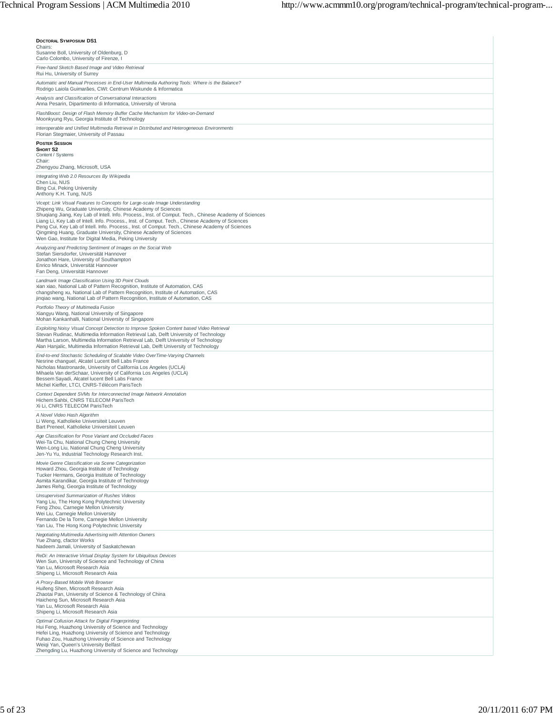| <b>DOCTORAL SYMPOSIUM DS1</b><br>Chairs:<br>Susanne Boll, University of Oldenburg, D<br>Carlo Colombo, University of Firenze, I                                                                                                                                                                                                                                                                                                                                                                                                                                                               |
|-----------------------------------------------------------------------------------------------------------------------------------------------------------------------------------------------------------------------------------------------------------------------------------------------------------------------------------------------------------------------------------------------------------------------------------------------------------------------------------------------------------------------------------------------------------------------------------------------|
| Free-hand Sketch Based Image and Video Retrieval                                                                                                                                                                                                                                                                                                                                                                                                                                                                                                                                              |
| Rui Hu, University of Surrey<br>Automatic and Manual Processes in End-User Multimedia Authoring Tools: Where is the Balance?                                                                                                                                                                                                                                                                                                                                                                                                                                                                  |
| Rodrigo Laiola Guimarães, CWI: Centrum Wiskunde & Informatica<br>Analysis and Classification of Conversational Interactions                                                                                                                                                                                                                                                                                                                                                                                                                                                                   |
| Anna Pesarin, Dipartimento di Informatica, University of Verona<br>FlashBoost: Design of Flash Memory Buffer Cache Mechanism for Video-on-Demand                                                                                                                                                                                                                                                                                                                                                                                                                                              |
| Moonkyung Ryu, Georgia Institute of Technology<br>Interoperable and Unified Multimedia Retrieval in Distributed and Heterogeneous Environments<br>Florian Stegmaier, University of Passau                                                                                                                                                                                                                                                                                                                                                                                                     |
| <b>POSTER SESSION</b><br>SHORT S2                                                                                                                                                                                                                                                                                                                                                                                                                                                                                                                                                             |
| Content / Systems<br>Chair:<br>Zhengyou Zhang, Microsoft, USA                                                                                                                                                                                                                                                                                                                                                                                                                                                                                                                                 |
| Integrating Web 2.0 Resources By Wikipedia                                                                                                                                                                                                                                                                                                                                                                                                                                                                                                                                                    |
| Chen Liu, NUS<br>Bing Cui, Peking University<br>Anthony K.H. Tung, NUS                                                                                                                                                                                                                                                                                                                                                                                                                                                                                                                        |
| Vicept: Link Visual Features to Concepts for Large-scale Image Understanding<br>Zhipeng Wu, Graduate University, Chinese Academy of Sciences<br>Shuqiang Jiang, Key Lab of Intell. Info. Process., Inst. of Comput. Tech., Chinese Academy of Sciences<br>Liang Li, Key Lab of Intell. Info. Process., Inst. of Comput. Tech., Chinese Academy of Sciences<br>Peng Cui, Key Lab of Intell. Info. Process., Inst. of Comput. Tech., Chinese Academy of Sciences<br>Qingming Huang, Graduate University, Chinese Academy of Sciences<br>Wen Gao, Institute for Digital Media, Peking University |
| Analyzing and Predicting Sentiment of Images on the Social Web<br>Stefan Siersdorfer, Universität Hannover<br>Jonathon Hare, University of Southampton<br>Enrico Minack, Universität Hannover<br>Fan Deng, Universität Hannover                                                                                                                                                                                                                                                                                                                                                               |
| Landmark Image Classification Using 3D Point Clouds<br>xian xiao, National Lab of Pattern Recognition, Institute of Automation, CAS<br>changsheng xu, National Lab of Pattern Recognition, Institute of Automation, CAS<br>jingiao wang, National Lab of Pattern Recognition, Institute of Automation, CAS                                                                                                                                                                                                                                                                                    |
| Portfolio Theory of Multimedia Fusion<br>Xiangyu Wang, National University of Singapore<br>Mohan Kankanhalli, National University of Singapore                                                                                                                                                                                                                                                                                                                                                                                                                                                |
| Exploiting Noisy Visual Concept Detection to Improve Spoken Content based Video Retrieval<br>Stevan Rudinac, Multimedia Information Retrieval Lab, Delft University of Technology<br>Martha Larson, Multimedia Information Retrieval Lab, Delft University of Technology<br>Alan Hanjalic, Multimedia Information Retrieval Lab, Delft University of Technology                                                                                                                                                                                                                               |
| End-to-end Stochastic Scheduling of Scalable Video OverTime-Varying Channels<br>Nesrine changuel, Alcatel Lucent Bell Labs France<br>Nicholas Mastronarde, University of California Los Angeles (UCLA)<br>Mihaela Van derSchaar, University of California Los Angeles (UCLA)<br>Bessem Sayadi, Alcatel lucent Bell Labs France<br>Michel Kieffer, LTCI, CNRS-Télécom ParisTech                                                                                                                                                                                                                |
| Context Dependent SVMs for Interconnected Image Network Annotation<br>Hichem Sahbi, CNRS TELECOM ParisTech<br>Xi Li, CNRS TELECOM ParisTech                                                                                                                                                                                                                                                                                                                                                                                                                                                   |
| A Novel Video Hash Algorithm<br>Li Weng, Katholieke Universiteit Leuven<br>Bart Preneel, Katholieke Universiteit Leuven                                                                                                                                                                                                                                                                                                                                                                                                                                                                       |
| Age Classification for Pose Variant and Occluded Faces<br>Wei-Ta Chu, National Chung Cheng University<br>Wen-Long Liu, National Chung Cheng University<br>Jen-Yu Yu, Industrial Technology Research Inst.                                                                                                                                                                                                                                                                                                                                                                                     |
| Movie Genre Classification via Scene Categorization<br>Howard Zhou, Georgia Institute of Technology<br>Tucker Hermans, Georgia Institute of Technology<br>Asmita Karandikar, Georgia Institute of Technology<br>James Rehg, Georgia Institute of Technology                                                                                                                                                                                                                                                                                                                                   |
| Unsupervised Summarization of Rushes Videos<br>Yang Liu, The Hong Kong Polytechnic University<br>Feng Zhou, Carnegie Mellon University<br>Wei Liu, Carnegie Mellon University<br>Fernando De la Torre, Carnegie Mellon University<br>Yan Liu, The Hong Kong Polytechnic University                                                                                                                                                                                                                                                                                                            |
| Negotiating Multimedia Advertising with Attention Owners<br>Yue Zhang, cfactor Works<br>Nadeem Jamali, University of Saskatchewan                                                                                                                                                                                                                                                                                                                                                                                                                                                             |
| ReDi: An Interactive Virtual Display System for Ubiquitous Devices<br>Wen Sun, University of Science and Technology of China<br>Yan Lu, Microsoft Research Asia<br>Shipeng Li, Microsoft Research Asia                                                                                                                                                                                                                                                                                                                                                                                        |
| A Proxy-Based Mobile Web Browser<br>Huifeng Shen, Microsoft Research Asia<br>Zhaotai Pan, University of Science & Technology of China<br>Haicheng Sun, Microsoft Research Asia<br>Yan Lu, Microsoft Research Asia<br>Shipeng Li, Microsoft Research Asia                                                                                                                                                                                                                                                                                                                                      |
| Optimal Collusion Attack for Digital Fingerprinting<br>Hui Feng, Huazhong University of Science and Technology<br>Hefei Ling, Huazhong University of Science and Technology<br>Fuhao Zou, Huazhong University of Science and Technology<br>Weiqi Yan, Queen's University Belfast<br>Zhengding Lu, Huazhong University of Science and Technology                                                                                                                                                                                                                                               |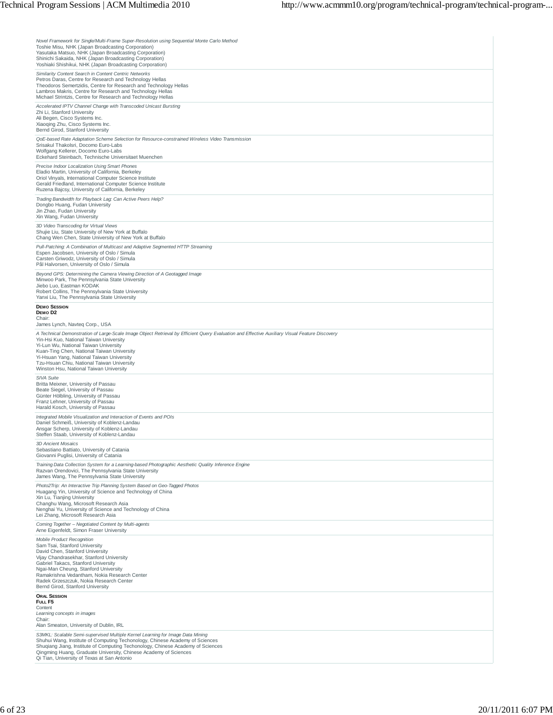| Novel Framework for Single/Multi-Frame Super-Resolution using Sequential Monte Carlo Method<br>Toshie Misu, NHK (Japan Broadcasting Corporation)<br>Yasutaka Matsuo, NHK (Japan Broadcasting Corporation)<br>Shinichi Sakaida, NHK (Japan Broadcasting Corporation)<br>Yoshiaki Shishikui, NHK (Japan Broadcasting Corporation)                                                                                        |
|------------------------------------------------------------------------------------------------------------------------------------------------------------------------------------------------------------------------------------------------------------------------------------------------------------------------------------------------------------------------------------------------------------------------|
| Similarity Content Search in Content Centric Networks<br>Petros Daras, Centre for Research and Technology Hellas<br>Theodoros Semertzidis, Centre for Research and Technology Hellas<br>Lambros Makris, Centre for Research and Technology Hellas<br>Michael Strintzis, Centre for Research and Technology Hellas                                                                                                      |
| Accelerated IPTV Channel Change with Transcoded Unicast Bursting<br>Zhi Li, Stanford University<br>Ali Begen, Cisco Systems Inc.<br>Xiaoqing Zhu, Cisco Systems Inc.<br>Bernd Girod, Stanford University                                                                                                                                                                                                               |
| QoE-based Rate Adaptation Scheme Selection for Resource-constrained Wireless Video Transmission<br>Srisakul Thakolsri, Docomo Euro-Labs<br>Wolfgang Kellerer, Docomo Euro-Labs<br>Eckehard Steinbach, Technische Universitaet Muenchen                                                                                                                                                                                 |
| Precise Indoor Localization Using Smart Phones<br>Eladio Martin, University of California, Berkeley<br>Oriol Vinyals, International Computer Science Institute<br>Gerald Friedland, International Computer Science Institute<br>Ruzena Bajcsy, University of California, Berkeley                                                                                                                                      |
| Trading Bandwidth for Playback Lag: Can Active Peers Help?<br>Dongbo Huang, Fudan University<br>Jin Zhao, Fudan University<br>Xin Wang, Fudan University                                                                                                                                                                                                                                                               |
| 3D Video Transcoding for Virtual Views<br>Shujie Liu, State University of New York at Buffalo<br>Chang Wen Chen, State University of New York at Buffalo                                                                                                                                                                                                                                                               |
| Pull-Patching: A Combination of Multicast and Adaptive Segmented HTTP Streaming<br>Espen Jacobsen, University of Oslo / Simula<br>Carsten Griwodz, University of Oslo / Simula<br>Pål Halvorsen, University of Oslo / Simula                                                                                                                                                                                           |
| Beyond GPS: Determining the Camera Viewing Direction of A Geotagged Image<br>Minwoo Park, The Pennsylvania State University<br>Jiebo Luo, Eastman KODAK<br>Robert Collins, The Pennsylvania State University<br>Yanxi Liu, The Pennsylvania State University                                                                                                                                                           |
| <b>DEMO SESSION</b><br>DEMOD <sub>2</sub><br>Chair:<br>James Lynch, Navteg Corp., USA                                                                                                                                                                                                                                                                                                                                  |
| A Technical Demonstration of Large-Scale Image Object Retrieval by Efficient Query Evaluation and Effective Auxiliary Visual Feature Discovery<br>Yin-Hsi Kuo, National Taiwan University<br>Yi-Lun Wu, National Taiwan University<br>Kuan-Ting Chen, National Taiwan University<br>Yi-Hsuan Yang, National Taiwan University<br>Tzu-Hsuan Chiu, National Taiwan University<br>Winston Hsu, National Taiwan University |
| SIVA Suite<br>Britta Meixner, University of Passau<br>Beate Siegel, University of Passau<br>Günter Hölbling, University of Passau<br>Franz Lehner, University of Passau<br>Harald Kosch, University of Passau                                                                                                                                                                                                          |
| Integrated Mobile Visualization and Interaction of Events and POIs<br>Daniel Schmeiß, University of Koblenz-Landau<br>Ansgar Scherp, University of Koblenz-Landau<br>Steffen Staab, University of Koblenz-Landau                                                                                                                                                                                                       |
| 3D Ancient Mosaics<br>Sebastiano Battiato, University of Catania<br>Giovanni Puglisi, University of Catania                                                                                                                                                                                                                                                                                                            |
| Training Data Collection System for a Learning-based Photographic Aesthetic Quality Inference Engine<br>Razvan Orendovici, The Pennsylvania State University<br>James Wang, The Pennsylvania State University                                                                                                                                                                                                          |
| Photo2Trip: An Interactive Trip Planning System Based on Geo-Tagged Photos<br>Huagang Yin, University of Science and Technology of China<br>Xin Lu, Tianjing University<br>Changhu Wang, Microsoft Research Asia<br>Nenghai Yu, University of Science and Technology of China<br>Lei Zhang, Microsoft Research Asia                                                                                                    |
| Coming Together - Negotiated Content by Multi-agents<br>Arne Eigenfeldt, Simon Fraser University                                                                                                                                                                                                                                                                                                                       |
| <b>Mobile Product Recognition</b><br>Sam Tsai, Stanford University<br>David Chen, Stanford University<br>Vijay Chandrasekhar, Stanford University<br>Gabriel Takacs, Stanford University<br>Ngai-Man Cheung, Stanford University<br>Ramakrishna Vedantham, Nokia Research Center<br>Radek Grzeszczuk, Nokia Research Center<br>Bernd Girod, Stanford University                                                        |
| <b>ORAL SESSION</b><br>FULL F5<br>Content<br>Learning concepts in images<br>Chair:                                                                                                                                                                                                                                                                                                                                     |
| Alan Smeaton, University of Dublin, IRL<br>S3MKL: Scalable Semi-supervised Multiple Kernel Learning for Image Data Mining                                                                                                                                                                                                                                                                                              |
| Shuhui Wang, Institute of Computing Techonology, Chinese Academy of Sciences<br>Shuqiang Jiang, Institute of Computing Techonology, Chinese Academy of Sciences<br>Qingming Huang, Graduate University, Chinese Academy of Sciences<br>Qi Tian, University of Texas at San Antonio                                                                                                                                     |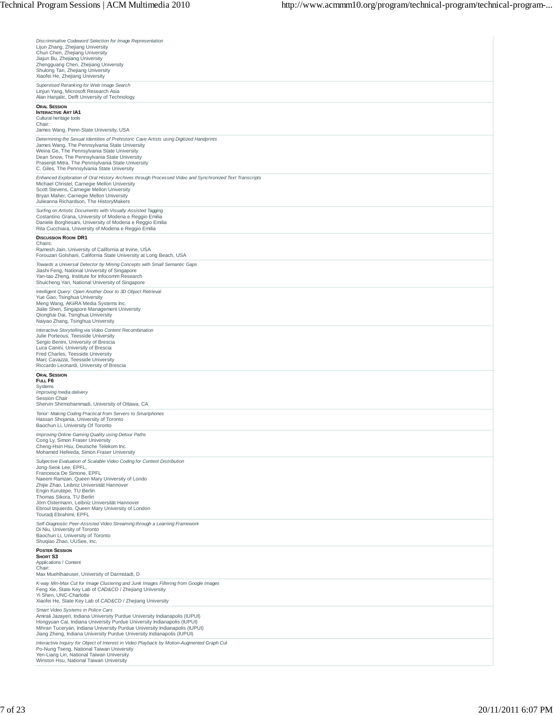| Discriminative Codeword Selection for Image Representation<br>Lijun Zhang, Zhejiang University<br>Chun Chen, Zhejiang University<br>Jiajun Bu, Zhejiang University<br>Zhengguang Chen, Zhejiang University<br>Shulong Tan, Zhejiang University                                                                                                                                                                    |
|-------------------------------------------------------------------------------------------------------------------------------------------------------------------------------------------------------------------------------------------------------------------------------------------------------------------------------------------------------------------------------------------------------------------|
| Xiaofei He, Zhejiang University<br>Supervised Reranking for Web Image Search<br>Linjun Yang, Microsoft Research Asia                                                                                                                                                                                                                                                                                              |
| Alan Hanjalic, Delft University of Technology<br><b>ORAL SESSION</b><br><b>INTERACTIVE ART IA1</b>                                                                                                                                                                                                                                                                                                                |
| Cultural heritage tools<br>Chair:                                                                                                                                                                                                                                                                                                                                                                                 |
| James Wang, Penn-State University, USA<br>Determining the Sexual Identities of Prehistoric Cave Artists using Digitized Handprints<br>James Wang, The Pennsylvania State University<br>Weina Ge, The Pennsylvania State University<br>Dean Snow, The Pennsylvania State University<br>Prasenjit Mitra, The Pennsylvania State University<br>C. Giles, The Pennsylvania State University                           |
| Enhanced Exploration of Oral History Archives through Processed Video and Synchronized Text Transcripts<br>Michael Christel, Carnegie Mellon University<br>Scott Stevens, Carnegie Mellon University<br>Bryan Maher, Carnegie Mellon University<br>Julieanna Richardson, The HistoryMakers                                                                                                                        |
| Surfing on Artistic Documents with Visually Assisted Tagging<br>Costantino Grana, University of Modena e Reggio Emilia<br>Daniele Borghesani, University of Modena e Reggio Emilia<br>Rita Cucchiara, University of Modena e Reggio Emilia                                                                                                                                                                        |
| <b>DISCUSSION ROOM DR1</b><br>Chairs:<br>Ramesh Jain, University of California at Irvine, USA<br>Forouzan Golshani, California State University at Long Beach, USA                                                                                                                                                                                                                                                |
| Towards a Universal Detector by Mining Concepts with Small Semantic Gaps<br>Jiashi Feng, National University of Singapore<br>Yan-tao Zheng, Institute for Infocomm Research<br>Shuicheng Yan, National University of Singapore                                                                                                                                                                                    |
| Intelligent Query: Open Another Door to 3D Object Retrieval<br>Yue Gao, Tsinghua University<br>Meng Wang, AKiiRA Media Systems Inc.<br>Jialie Shen, Singapore Management University<br>Qionghai Dai, Tsinghua University<br>Naiyao Zhang, Tsinghua University                                                                                                                                                     |
| Interactive Storytelling via Video Content Recombination<br>Julie Porteous, Teesside University<br>Sergio Benini, University of Brescia<br>Luca Canini, University of Brescia<br>Fred Charles, Teesside University<br>Marc Cavazza, Teesside University<br>Riccardo Leonardi, University of Brescia                                                                                                               |
| <b>ORAL SESSION</b><br>FULL F6                                                                                                                                                                                                                                                                                                                                                                                    |
| Systems<br>Improving media delivery<br>Session Chair<br>Shervin Shirmohammadi, University of Ottawa, CA                                                                                                                                                                                                                                                                                                           |
| Tenor: Making Coding Practical from Servers to Smartphones<br>Hassan Shojania, University of Toronto<br>Baochun Li, University Of Toronto                                                                                                                                                                                                                                                                         |
| Improving Online Gaming Quality using Detour Paths<br>Cong Ly, Simon Fraser University<br>Cheng-Hsin Hsu, Deutsche Telekom Inc.<br>Mohamed Hefeeda, Simon Fraser University                                                                                                                                                                                                                                       |
| Subjective Evaluation of Scalable Video Coding for Content Distribution<br>Jong-Seok Lee, EPFL.<br>Francesca De Simone, EPFL<br>Naeem Ramzan, Queen Mary University of Londo<br>Zhijie Zhao, Leibniz Universität Hannover<br>Engin Kurutepe, TU Berlin<br>Thomas Sikora, TU Berlin<br>Jörn Ostermann, Leibniz Universität Hannover<br>Ebroul Izquierdo, Queen Mary University of London<br>Touradj Ebrahimi, EPFL |
| Self-Diagnostic Peer-Assisted Video Streaming through a Learning Framework<br>Di Niu, University of Toronto<br>Baochun Li, University of Toronto<br>Shuqiao Zhao, UUSee, Inc.                                                                                                                                                                                                                                     |
| <b>POSTER SESSION</b><br>SHORT S3<br>Applications / Content<br>Chair:<br>Max Muehlhaeuser, University of Darmstadt, D                                                                                                                                                                                                                                                                                             |
| K-way Min-Max Cut for Image Clustering and Junk Images Filtering from Google Images<br>Feng Xie, State Key Lab of CAD&CD / Zhejiang University<br>Yi Shen, UNC-Charlotte<br>Xiaofei He, State Key Lab of CAD&CD / Zhejiang University                                                                                                                                                                             |
| Smart Video Systems in Police Cars<br>Amirali Jazayeri, Indiana University Purdue University Indianapolis (IUPUI)<br>Hongyuan Cai, Indiana University Purdue University Indianapolis (IUPUI)<br>Mihran Tuceryan, Indiana University Purdue University Indianapolis (IUPUI)<br>Jiang Zheng, Indiana University Purdue University Indianapolis (IUPUI)                                                              |
| Interactive Inquiry for Object of Interest in Video Playback by Motion-Augmented Graph Cut<br>Po-Nung Tseng, National Taiwan University<br>Yen-Liang Lin, National Taiwan University<br>Winston Hsu, National Taiwan University                                                                                                                                                                                   |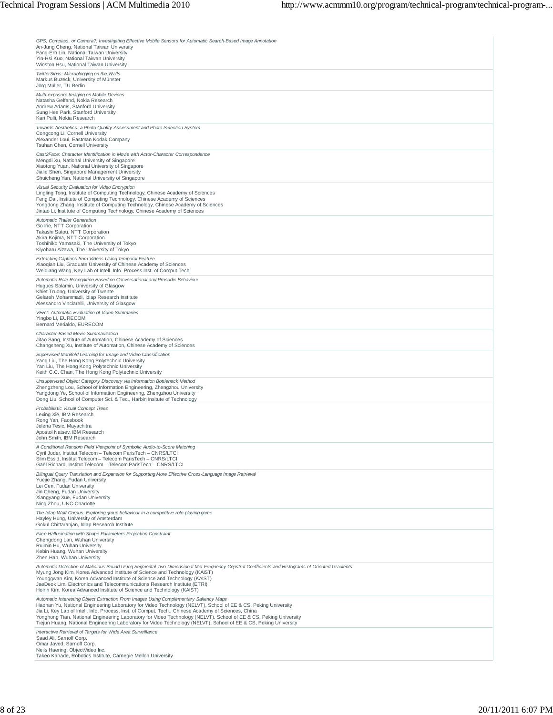| GPS, Compass, or Camera?: Investigating Effective Mobile Sensors for Automatic Search-Based Image Annotation<br>An-Jung Cheng, National Taiwan University<br>Fang-Erh Lin, National Taiwan University<br>Yin-Hsi Kuo, National Taiwan University<br>Winston Hsu, National Taiwan University                                                                                                                                                                                                                                                             |
|---------------------------------------------------------------------------------------------------------------------------------------------------------------------------------------------------------------------------------------------------------------------------------------------------------------------------------------------------------------------------------------------------------------------------------------------------------------------------------------------------------------------------------------------------------|
| TwitterSigns: Microblogging on the Walls<br>Markus Buzeck, University of Münster<br>Jörg Müller, TU Berlin                                                                                                                                                                                                                                                                                                                                                                                                                                              |
| Multi-exposure Imaging on Mobile Devices<br>Natasha Gelfand, Nokia Research<br>Andrew Adams, Stanford University<br>Sung Hee Park, Stanford University<br>Kari Pulli, Nokia Research                                                                                                                                                                                                                                                                                                                                                                    |
| Towards Aesthetics: a Photo Quality Assessment and Photo Selection System<br>Congcong Li, Cornell University<br>Alexander Loui, Eastman Kodak Company<br>Tsuhan Chen, Cornell University                                                                                                                                                                                                                                                                                                                                                                |
| Cast2Face: Character Identification in Movie with Actor-Character Correspondence<br>Mengdi Xu, National University of Singapore<br>Xiaotong Yuan, National University of Singapore<br>Jialie Shen, Singapore Management University<br>Shuicheng Yan, National University of Singapore                                                                                                                                                                                                                                                                   |
| Visual Security Evaluation for Video Encryption<br>Lingling Tong, Institute of Computing Technology, Chinese Academy of Sciences<br>Feng Dai, Institute of Computing Technology, Chinese Academy of Sciences<br>Yongdong Zhang, Institute of Computing Technology, Chinese Academy of Sciences<br>Jintao Li, Institute of Computing Technology, Chinese Academy of Sciences                                                                                                                                                                             |
| <b>Automatic Trailer Generation</b><br>Go Irie, NTT Corporation<br>Takashi Satou, NTT Corporation<br>Akira Kojima, NTT Corporation<br>Toshihiko Yamasaki, The University of Tokyo<br>Kiyoharu Aizawa, The University of Tokyo                                                                                                                                                                                                                                                                                                                           |
| Extracting Captions from Videos Using Temporal Feature<br>Xiaoqian Liu, Graduate University of Chinese Academy of Sciences<br>Weigiang Wang, Key Lab of Intell. Info. Process.Inst. of Comput.Tech.                                                                                                                                                                                                                                                                                                                                                     |
| Automatic Role Recognition Based on Conversational and Prosodic Behaviour<br>Hugues Salamin, University of Glasgow<br>Khiet Truong, University of Twente<br>Gelareh Mohammadi, Idiap Research Institute<br>Alessandro Vinciarelli, University of Glasgow                                                                                                                                                                                                                                                                                                |
| VERT: Automatic Evaluation of Video Summaries<br>Yingbo Li, EURECOM<br>Bernard Merialdo, EURECOM                                                                                                                                                                                                                                                                                                                                                                                                                                                        |
| Character-Based Movie Summarization<br>Jitao Sang, Institute of Automation, Chinese Academy of Sciences<br>Changsheng Xu, Institute of Automation, Chinese Academy of Sciences<br>Supervised Manifold Learning for Image and Video Classification<br>Yang Liu, The Hong Kong Polytechnic University<br>Yan Liu, The Hong Kong Polytechnic University<br>Keith C.C. Chan, The Hong Kong Polytechnic University                                                                                                                                           |
| Unsupervised Object Category Discovery via Information Bottleneck Method<br>Zhengzheng Lou, School of Information Engineering, Zhengzhou University<br>Yangdong Ye, School of Information Engineering, Zhengzhou University<br>Dong Liu, School of Computer Sci. & Tec., Harbin Insitute of Technology                                                                                                                                                                                                                                                  |
| Probabilistic Visual Concept Trees<br>Lexing Xie, IBM Research<br>Rong Yan, Facebook<br>Jelena Tesic, Mayachitra<br>Apostol Natsev, IBM Research<br>John Smith, IBM Research                                                                                                                                                                                                                                                                                                                                                                            |
| A Conditional Random Field Viewpoint of Symbolic Audio-to-Score Matching<br>Cyril Joder, Institut Telecom - Telecom ParisTech - CNRS/LTCI<br>Slim Essid, Institut Telecom - Telecom ParisTech - CNRS/LTCI<br>Gaël Richard, Institut Telecom - Telecom ParisTech - CNRS/LTCI                                                                                                                                                                                                                                                                             |
| Bilingual Query Translation and Expansion for Supporting More Effective Cross-Language Image Retrieval<br>Yuejie Zhang, Fudan University<br>Lei Cen, Fudan University<br>Jin Cheng, Fudan University<br>Xiangyang Xue, Fudan University<br>Ning Zhou, UNC-Charlotte                                                                                                                                                                                                                                                                                     |
| The Idiap Wolf Corpus: Exploring group behaviour in a competitive role-playing game<br>Hayley Hung, University of Amsterdam<br>Gokul Chittaranjan, Idiap Research Institute                                                                                                                                                                                                                                                                                                                                                                             |
| Face Hallucination with Shape Parameters Projection Constraint<br>Chengdong Lan, Wuhan University<br>Ruimin Hu. Wuhan University<br>Kebin Huang, Wuhan University<br>Zhen Han, Wuhan University                                                                                                                                                                                                                                                                                                                                                         |
| Automatic Detection of Malicious Sound Using Segmental Two-Dimensional Mel-Frequency Cepstral Coefficients and Histograms of Oriented Gradients<br>Myung Jong Kim, Korea Advanced Institute of Science and Technology (KAIST)<br>Youngqwan Kim, Korea Advanced Institute of Science and Technology (KAIST)<br>JaeDeok Lim, Electronics and Telecommunications Research Institute (ETRI)<br>Hoirin Kim, Korea Advanced Institute of Science and Technology (KAIST)                                                                                       |
| Automatic Interesting Object Extraction From Images Using Complementary Saliency Maps<br>Haonan Yu, National Engineering Laboratory for Video Technology (NELVT), School of EE & CS, Peking University<br>Jia Li, Key Lab of Intell. Info. Process, Inst. of Comput. Tech., Chinese Academy of Sciences, China<br>Yonghong Tian, National Engineering Laboratory for Video Technology (NELVT), School of EE & CS, Peking University<br>Tiejun Huang, National Engineering Laboratory for Video Technology (NELVT), School of EE & CS, Peking University |
| Interactive Retrieval of Targets for Wide Area Surveillance<br>Saad Ali, Sarnoff Corp.<br>Omar Javed, Sarnoff Corp.<br>Neils Haering, ObjectVideo Inc.<br>Takeo Kanade, Robotics Institute, Carnegie Mellon University                                                                                                                                                                                                                                                                                                                                  |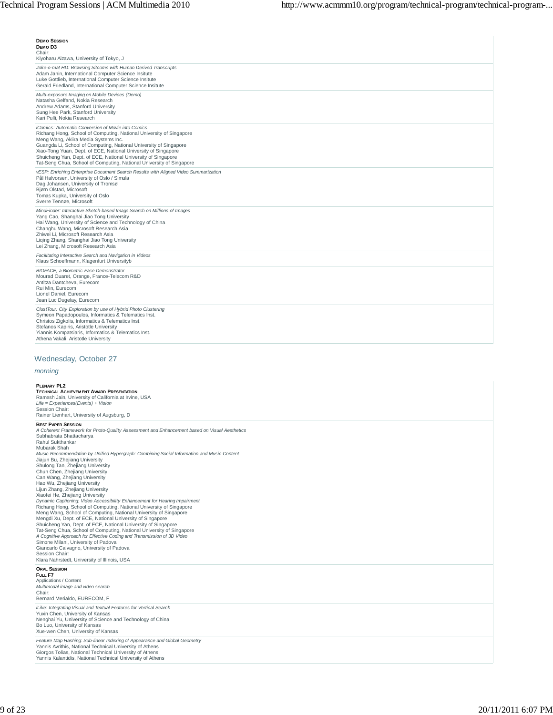# **DEMO SESSION DEMO D3** Chair:

| Kiyoharu Aizawa, University of Tokyo, J                                                                                                                                                                                                                                                                                                                                                                                                                  |
|----------------------------------------------------------------------------------------------------------------------------------------------------------------------------------------------------------------------------------------------------------------------------------------------------------------------------------------------------------------------------------------------------------------------------------------------------------|
| Joke-o-mat HD: Browsing Sitcoms with Human Derived Transcripts<br>Adam Janin, International Computer Science Insitute<br>Luke Gottlieb, International Computer Science Insitute<br>Gerald Friedland, International Computer Science Insitute                                                                                                                                                                                                             |
| Multi-exposure Imaging on Mobile Devices (Demo)<br>Natasha Gelfand, Nokia Research<br>Andrew Adams, Stanford University<br>Sung Hee Park, Stanford University<br>Kari Pulli, Nokia Research                                                                                                                                                                                                                                                              |
| <i>iComics: Automatic Conversion of Movie into Comics</i><br>Richang Hong, School of Computing, National University of Singapore<br>Meng Wang, Akiira Media Systems Inc.<br>Guangda Li, School of Computing, National University of Singapore<br>Xiao-Tong Yuan, Dept. of ECE, National University of Singapore<br>Shuicheng Yan, Dept. of ECE, National University of Singapore<br>Tat-Seng Chua, School of Computing, National University of Singapore |
| vESP: Enriching Enterprise Document Search Results with Aligned Video Summarization<br>Pål Halvorsen, University of Oslo / Simula<br>Dag Johansen, University of Tromsø<br>Bjørn Olstad, Microsoft<br>Tomas Kupka, University of Oslo<br>Sverre Tennøe, Microsoft                                                                                                                                                                                        |
| MindFinder: Interactive Sketch-based Image Search on Millions of Images<br>Yang Cao, Shanghai Jiao Tong University<br>Hai Wang, University of Science and Technology of China<br>Changhu Wang, Microsoft Research Asia<br>Zhiwei Li, Microsoft Research Asia<br>Liging Zhang, Shanghai Jiao Tong University<br>Lei Zhang, Microsoft Research Asia                                                                                                        |
| Facilitating Interactive Search and Navigation in Videos<br>Klaus Schoeffmann, Klagenfurt Universityb                                                                                                                                                                                                                                                                                                                                                    |
| <b>BIOFACE, a Biometric Face Demonstrator</b><br>Mourad Ouaret, Orange, France-Telecom R&D<br>Antitza Dantcheva, Eurecom<br>Rui Min. Eurecom<br>Lionel Daniel, Eurecom<br>Jean Luc Dugelay, Eurecom                                                                                                                                                                                                                                                      |
| ClustTour: City Exploration by use of Hybrid Photo Clustering<br>Symeon Papadopoulos, Informatics & Telematics Inst.<br>Christos Zigkolis, Informatics & Telematics Inst.<br>Stefanos Kapiris, Aristotle University<br>Yiannis Kompatsiaris, Informatics & Telematics Inst.<br>Athena Vakali, Aristotle University                                                                                                                                       |

# Wednesday, October 27

# *morning*

# **PLENARY PL2**

| <b>TECHNICAL ACHIEVEMENT AWARD PRESENTATION</b><br>Ramesh Jain, University of California at Irvine, USA<br>Life = Experiences (Events) + Vision<br>Session Chair:<br>Rainer Lienhart, University of Augsburg, D                                                                                                                                                                                                                                                                                                                                                                                                                                                                                                                                                                                                                                                                                                                                                                                                                                                                                                                                                                                     |
|-----------------------------------------------------------------------------------------------------------------------------------------------------------------------------------------------------------------------------------------------------------------------------------------------------------------------------------------------------------------------------------------------------------------------------------------------------------------------------------------------------------------------------------------------------------------------------------------------------------------------------------------------------------------------------------------------------------------------------------------------------------------------------------------------------------------------------------------------------------------------------------------------------------------------------------------------------------------------------------------------------------------------------------------------------------------------------------------------------------------------------------------------------------------------------------------------------|
| <b>BEST PAPER SESSION</b><br>A Coherent Framework for Photo-Quality Assessment and Enhancement based on Visual Aesthetics<br>Subhabrata Bhattacharya<br>Rahul Sukthankar<br>Mubarak Shah<br>Music Recommendation by Unified Hypergraph: Combining Social Information and Music Content<br>Jiajun Bu, Zhejiang University<br>Shulong Tan, Zhejiang University<br>Chun Chen, Zhejiang University<br>Can Wang, Zhejiang University<br>Hao Wu, Zhejiang University<br>Lijun Zhang, Zhejiang University<br>Xiaofei He, Zhejiang University<br>Dynamic Captioning: Video Accessibility Enhancement for Hearing Impairment<br>Richang Hong, School of Computing, National University of Singapore<br>Meng Wang, School of Computing, National University of Singapore<br>Mengdi Xu, Dept. of ECE, National University of Singapore<br>Shuicheng Yan, Dept. of ECE, National University of Singapore<br>Tat-Seng Chua, School of Computing, National University of Singapore<br>A Cognitive Approach for Effective Coding and Transmission of 3D Video<br>Simone Milani, University of Padova<br>Giancarlo Calvagno, University of Padova<br>Session Chair:<br>Klara Nahrstedt, University of Illinois, USA |
| <b>ORAL SESSION</b><br>FULL F7<br>Applications / Content<br>Multimodal image and video search<br>Chair:<br>Bernard Merialdo, EURECOM, F                                                                                                                                                                                                                                                                                                                                                                                                                                                                                                                                                                                                                                                                                                                                                                                                                                                                                                                                                                                                                                                             |
| iLike: Integrating Visual and Textual Features for Vertical Search<br>Yuxin Chen, University of Kansas<br>Nenghai Yu, University of Science and Technology of China<br>Bo Luo, University of Kansas<br>Xue-wen Chen, University of Kansas                                                                                                                                                                                                                                                                                                                                                                                                                                                                                                                                                                                                                                                                                                                                                                                                                                                                                                                                                           |
| Feature Map Hashing: Sub-linear Indexing of Appearance and Global Geometry<br>Yannis Avrithis, National Technical University of Athens<br>Giorgos Tolias, National Technical University of Athens<br>Yannis Kalantidis, National Technical University of Athens                                                                                                                                                                                                                                                                                                                                                                                                                                                                                                                                                                                                                                                                                                                                                                                                                                                                                                                                     |

 $\mathbb{R}$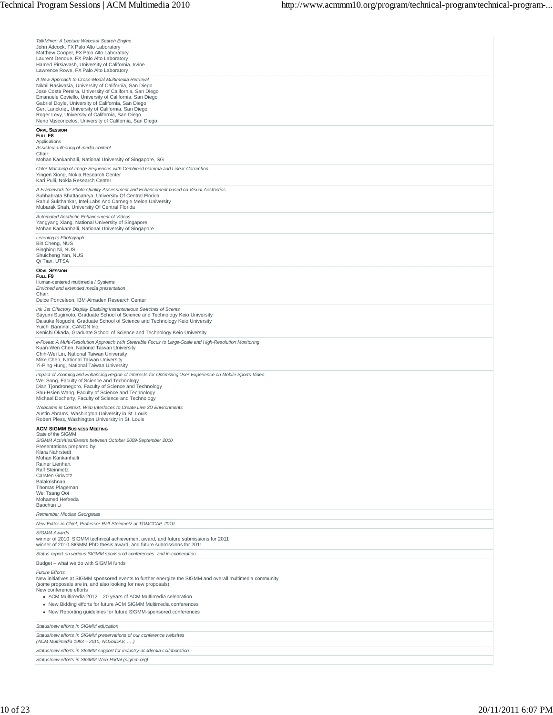| TalkMiner: A Lecture Webcast Search Engine                                                                                                                                                        |
|---------------------------------------------------------------------------------------------------------------------------------------------------------------------------------------------------|
| John Adcock, FX Palo Alto Laboratory<br>Matthew Cooper, FX Palo Alto Laboratory                                                                                                                   |
| Laurent Denoue, FX Palo Alto Laboratory<br>Hamed Pirsiavash, University of California, Irvine                                                                                                     |
| Lawrence Rowe, FX Palo Alto Laboratory                                                                                                                                                            |
| A New Approach to Cross-Modal Multimedia Retrieval<br>Nikhil Rasiwasia, University of California, San Diego                                                                                       |
| Jose Costa Pereira, University of California, San Diego<br>Emanuele Coviello, University of California, San Diego                                                                                 |
| Gabriel Doyle, University of California, San Diego<br>Gert Lanckriet, University of California, San Diego                                                                                         |
| Roger Levy, University of California, San Diego<br>Nuno Vasconcelos, University of California, San Diego                                                                                          |
| <b>ORAL SESSION</b>                                                                                                                                                                               |
| FULL F8<br>Applications                                                                                                                                                                           |
| Assisted authoring of media content<br>Chair:                                                                                                                                                     |
| Mohan Kankanhalli, National University of Singapore, SG                                                                                                                                           |
| Color Matching of Image Sequences with Combined Gamma and Linear Correction<br>Yingen Xiong, Nokia Research Center<br>Kari Pulli, Nokia Research Center                                           |
| A Framework for Photo-Quality Assessment and Enhancement based on Visual Aesthetics<br>Subhabrata Bhattacahrya, University Of Central Florida                                                     |
| Rahul Sukthankar, Intel Labs And Carnegie Melon University<br>Mubarak Shah, University Of Central Florida                                                                                         |
| Automated Aesthetic Enhancement of Videos                                                                                                                                                         |
| Yangyang Xiang, National University of Singapore<br>Mohan Kankanhalli, National University of Singapore                                                                                           |
| Learning to Photograph<br>Bin Cheng, NUS                                                                                                                                                          |
| Bingbing Ni, NUS<br>Shuicheng Yan, NUS                                                                                                                                                            |
| Qi Tian, UTSA                                                                                                                                                                                     |
| <b>ORAL SESSION</b><br>FULL F9                                                                                                                                                                    |
| Human-centered multimedia / Systems<br>Enriched and extended media presentation                                                                                                                   |
| Chair:<br>Dulce Ponceleon, IBM Almaden Research Center                                                                                                                                            |
| Ink Jet Olfactory Display Enabling Instantaneous Switches of Scents                                                                                                                               |
| Sayumi Sugimoto, Graduate School of Science and Technology Keio University<br>Daisuke Noguchi, Graduate School of Science and Technology Keio University                                          |
| Yuichi Bannnai, CANON Inc.<br>Kenichi Okada, Graduate School of Science and Technology Keio University                                                                                            |
| e-Fovea: A Multi-Resolution Approach with Steerable Focus to Large-Scale and High-Resolution Monitoring<br>Kuan-Wen Chen, National Taiwan University                                              |
| Chih-Wei Lin, National Taiwan University<br>Mike Chen, National Taiwan University                                                                                                                 |
| Yi-Ping Hung, National Taiwan University                                                                                                                                                          |
| Impact of Zooming and Enhancing Region of Interests for Optimizing User Experience on Mobile Sports Video<br>Wei Song, Faculty of Science and Technology                                          |
| Dian Tjondronegoro, Faculty of Science and Technology<br>Shu-Hsien Wang, Faculty of Science and Technology                                                                                        |
| Michael Docherty, Faculty of Science and Technology<br>Webcams in Context: Web Interfaces to Create Live 3D Environments                                                                          |
| Austin Abrams, Washington University in St. Louis<br>Robert Pless, Washington University in St. Louis                                                                                             |
| <b>ACM SIGMM BUSINESS MEETING</b><br>State of the SIGMM                                                                                                                                           |
| SIGMM Activities/Events between October 2009-September 2010<br>Presentations prepared by:                                                                                                         |
| Klara Nahrstedt<br>Mohan Kankanhalli                                                                                                                                                              |
| Rainer Lienhart<br><b>Ralf Steinmetz</b>                                                                                                                                                          |
| Carsten Griwotz<br>Balakrishnan                                                                                                                                                                   |
| Thomas Plageman<br>Wei Tsang Ooi                                                                                                                                                                  |
| Mohamed Hefeeda                                                                                                                                                                                   |
| Baochun Li<br>Remember Nicolas Georganas                                                                                                                                                          |
| New Editor-in-Chief, Professor Ralf Steinmetz at TOMCCAP, 2010                                                                                                                                    |
| <b>SIGMM Awards</b><br>winner of 2010 SIGMM technical achievement award, and future submissions for 2011                                                                                          |
| winner of 2010 SIGMM PhD thesis award, and future submissions for 2011                                                                                                                            |
| Status report on various SIGMM sponsored conferences and in-cooperation<br>Budget - what we do with SIGMM funds                                                                                   |
| <b>Future Efforts</b>                                                                                                                                                                             |
| New initiatives at SIGMM sponsored events to further energize the SIGMM and overall multimedia community<br>(some proposals are in, and also looking for new proposals)<br>New conference efforts |
| • ACM Multimedia 2012 - 20 years of ACM Multimedia celebration                                                                                                                                    |
| • New Bidding efforts for future ACM SIGMM Multimedia conferences<br>• New Reporting guidelines for future SIGMM-sponsored conferences                                                            |
|                                                                                                                                                                                                   |
| Status/new efforts in SIGMM education<br>Status/new efforts in SIGMM preservations of our conference websites                                                                                     |
| (ACM Multimedia 1993 - 2010, NOSSDAV, )                                                                                                                                                           |
| Status/new efforts in SIGMM support for industry-academia collaboration                                                                                                                           |
| Status/new efforts in SIGMM Web-Portal (sigmm.org)                                                                                                                                                |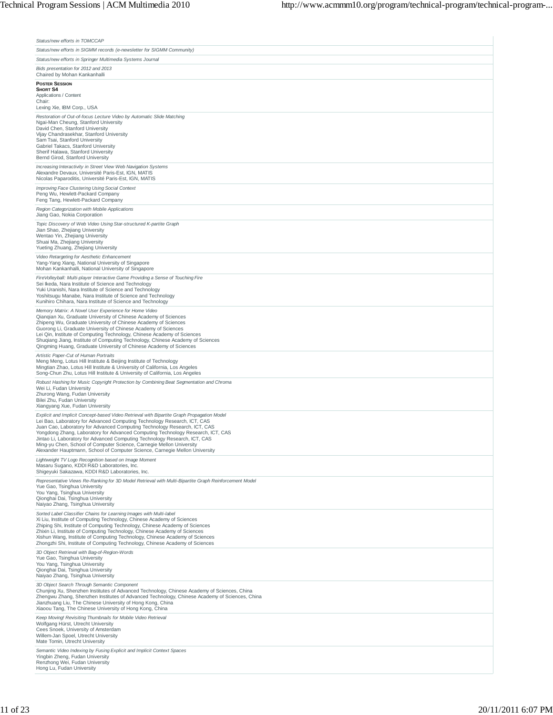| Status/new efforts in TOMCCAP                                                                                                                                                                                                                                                                                                                                                                                                                                                                                                                                             |
|---------------------------------------------------------------------------------------------------------------------------------------------------------------------------------------------------------------------------------------------------------------------------------------------------------------------------------------------------------------------------------------------------------------------------------------------------------------------------------------------------------------------------------------------------------------------------|
| Status/new efforts in SIGMM records (e-newsletter for SIGMM Community)                                                                                                                                                                                                                                                                                                                                                                                                                                                                                                    |
| Status/new efforts in Springer Multimedia Systems Journal                                                                                                                                                                                                                                                                                                                                                                                                                                                                                                                 |
| Bids presentation for 2012 and 2013<br>Chaired by Mohan Kankanhalli                                                                                                                                                                                                                                                                                                                                                                                                                                                                                                       |
| <b>POSTER SESSION</b><br><b>SHORT S4</b><br>Applications / Content                                                                                                                                                                                                                                                                                                                                                                                                                                                                                                        |
| Chair:<br>Lexing Xie, IBM Corp., USA                                                                                                                                                                                                                                                                                                                                                                                                                                                                                                                                      |
| Restoration of Out-of-focus Lecture Video by Automatic Slide Matching<br>Ngai-Man Cheung, Stanford University<br>David Chen, Stanford University<br>Vijay Chandrasekhar, Stanford University<br>Sam Tsai, Stanford University<br>Gabriel Takacs, Stanford University<br>Sherif Halawa, Stanford University<br>Bernd Girod, Stanford University                                                                                                                                                                                                                            |
| Increasing Interactivity in Street View Web Navigation Systems<br>Alexandre Devaux, Université Paris-Est, IGN, MATIS<br>Nicolas Paparoditis, Université Paris-Est, IGN, MATIS                                                                                                                                                                                                                                                                                                                                                                                             |
| Improving Face Clustering Using Social Context<br>Peng Wu, Hewlett-Packard Company<br>Feng Tang, Hewlett-Packard Company                                                                                                                                                                                                                                                                                                                                                                                                                                                  |
| Region Categorization with Mobile Applications<br>Jiang Gao, Nokia Corporation                                                                                                                                                                                                                                                                                                                                                                                                                                                                                            |
| Topic Discovery of Web Video Using Star-structured K-partite Graph<br>Jian Shao, Zhejiang University<br>Wentao Yin, Zhejiang University<br>Shuai Ma, Zhejiang University<br>Yueting Zhuang, Zhejiang University                                                                                                                                                                                                                                                                                                                                                           |
| Video Retargeting for Aesthetic Enhancement<br>Yang-Yang Xiang, National University of Singapore<br>Mohan Kankanhalli, National University of Singapore                                                                                                                                                                                                                                                                                                                                                                                                                   |
| FireVolleyball: Multi-player Interactive Game Providing a Sense of Touching Fire<br>Sei Ikeda, Nara Institute of Science and Technology<br>Yuki Uranishi, Nara Institute of Science and Technology<br>Yoshitsugu Manabe, Nara Institute of Science and Technology<br>Kunihiro Chihara, Nara Institute of Science and Technology                                                                                                                                                                                                                                           |
| Memory Matrix: A Novel User Experience for Home Video<br>Qianqian Xu, Graduate University of Chinese Academy of Sciences<br>Zhipeng Wu, Graduate University of Chinese Academy of Sciences<br>Guorong Li, Graduate University of Chinese Academy of Sciences<br>Lei Qin, Institute of Computing Technology, Chinese Academy of Sciences<br>Shuqiang Jiang, Institute of Computing Technology, Chinese Academy of Sciences<br>Qingming Huang, Graduate University of Chinese Academy of Sciences                                                                           |
| Artistic Paper-Cut of Human Portraits<br>Meng Meng, Lotus Hill Institute & Beijing Institute of Technology<br>Mingtian Zhao, Lotus Hill Institute & University of California, Los Angeles<br>Song-Chun Zhu, Lotus Hill Institute & University of California, Los Angeles                                                                                                                                                                                                                                                                                                  |
| Robust Hashing for Music Copyright Protection by Combining Beat Segmentation and Chroma<br>Wei Li, Fudan University<br>Zhurong Wang, Fudan University<br>Bilei Zhu, Fudan University<br>Xiangyang Xue, Fudan University                                                                                                                                                                                                                                                                                                                                                   |
| Explicit and Implicit Concept-based Video Retrieval with Bipartite Graph Propagation Model<br>Lei Bao, Laboratory for Advanced Computing Technology Research, ICT, CAS<br>Juan Cao, Laboratory for Advanced Computing Technology Research, ICT, CAS<br>Yongdong Zhang, Laboratory for Advanced Computing Technology Research, ICT, CAS<br>Jintao Li, Laboratory for Advanced Computing Technology Research, ICT, O<br>Ming-yu Chen, School of Computer Science, Carnegie Mellon University<br>Alexander Hauptmann, School of Computer Science, Carnegie Mellon University |
| Lightweight TV Logo Recognition based on Image Moment<br>Masaru Sugano, KDDI R&D Laboratories, Inc.<br>Shigeyuki Sakazawa, KDDI R&D Laboratories, Inc.                                                                                                                                                                                                                                                                                                                                                                                                                    |
| Representative Views Re-Ranking for 3D Model Retrieval with Multi-Bipartite Graph Reinforcement Model<br>Yue Gao, Tsinghua University<br>You Yang, Tsinghua University<br>Qionghai Dai, Tsinghua University<br>Naiyao Zhang, Tsinghua University                                                                                                                                                                                                                                                                                                                          |
| Sorted Label Classifier Chains for Learning Images with Multi-label<br>Xi Liu, Institute of Computing Technology, Chinese Academy of Sciences<br>Zhiping Shi, Institute of Computing Technology, Chinese Academy of Sciences<br>Zhixin Li, Institute of Computing Technology, Chinese Academy of Sciences<br>Xishun Wang, Institute of Computing Technology, Chinese Academy of Sciences<br>Zhongzhi Shi, Institute of Computing Technology, Chinese Academy of Sciences                                                                                                  |
| 3D Object Retrieval with Bag-of-Region-Words<br>Yue Gao, Tsinghua University<br>You Yang, Tsinghua University<br>Qionghai Dai, Tsinghua University<br>Naiyao Zhang, Tsinghua University                                                                                                                                                                                                                                                                                                                                                                                   |
| 3D Object Search Through Semantic Component<br>Chunjing Xu, Shenzhen Institutes of Advanced Technology, Chinese Academy of Sciences, China<br>Zhengwu Zhang, Shenzhen Institutes of Advanced Technology, Chinese Academy of Sciences, China<br>Jianzhuang Liu, The Chinese University of Hong Kong, China<br>Xiaoou Tang, The Chinese University of Hong Kong, China                                                                                                                                                                                                      |
| Keep Moving! Revisiting Thumbnails for Mobile Video Retrieval<br>Wolfgang Hürst, Utrecht University<br>Cees Snoek, University of Amsterdam<br>Willem-Jan Spoel, Utrecht University<br>Mate Tomin, Utrecht University                                                                                                                                                                                                                                                                                                                                                      |
| Semantic Video Indexing by Fusing Explicit and Implicit Context Spaces<br>Yingbin Zheng, Fudan University<br>Renzhong Wei, Fudan University<br>Hong Lu, Fudan University                                                                                                                                                                                                                                                                                                                                                                                                  |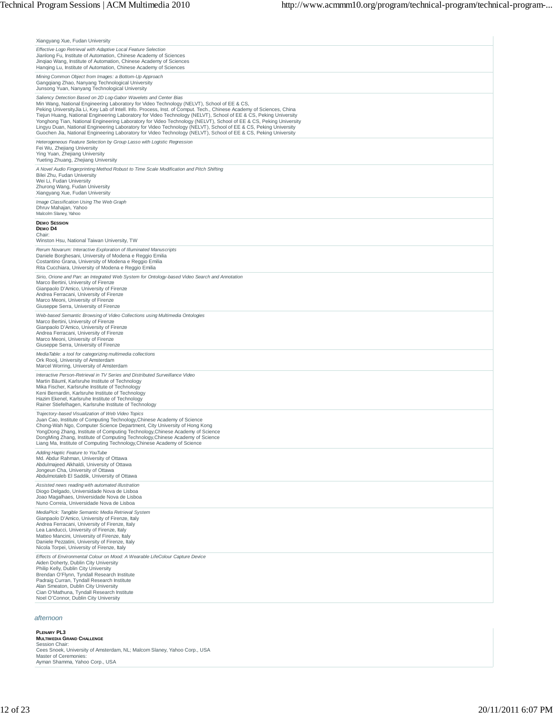| Xiangyang Xue, Fudan University                                                                                                                                                                                                                                                                                                                                                                                                                                                                                                                                                                                                                                                                                                                                         |
|-------------------------------------------------------------------------------------------------------------------------------------------------------------------------------------------------------------------------------------------------------------------------------------------------------------------------------------------------------------------------------------------------------------------------------------------------------------------------------------------------------------------------------------------------------------------------------------------------------------------------------------------------------------------------------------------------------------------------------------------------------------------------|
| Effective Logo Retrieval with Adaptive Local Feature Selection<br>Jianlong Fu, Institute of Automation, Chinese Academy of Sciences<br>Jingiao Wang, Institute of Automation, Chinese Academy of Sciences<br>Hanging Lu, Institute of Automation, Chinese Academy of Sciences                                                                                                                                                                                                                                                                                                                                                                                                                                                                                           |
| Mining Common Object from Images: a Bottom-Up Approach<br>Ganggiang Zhao, Nanyang Technological University<br>Junsong Yuan, Nanyang Technological University                                                                                                                                                                                                                                                                                                                                                                                                                                                                                                                                                                                                            |
| Saliency Detection Based on 2D Log-Gabor Wavelets and Center Bias<br>Min Wang, National Engineering Laboratory for Video Technology (NELVT), School of EE & CS,<br>Peking UniversityJia Li, Key Lab of Intell. Info. Process, Inst. of Comput. Tech., Chinese Academy of Sciences, China<br>Tiejun Huang, National Engineering Laboratory for Video Technology (NELVT), School of EE & CS, Peking University<br>Yonghong Tian, National Engineering Laboratory for Video Technology (NELVT), School of EE & CS, Peking University<br>Lingyu Duan, National Engineering Laboratory for Video Technology (NELVT), School of EE & CS, Peking University<br>Guochen Jia, National Engineering Laboratory for Video Technology (NELVT), School of EE & CS, Peking University |
| Heterogeneous Feature Selection by Group Lasso with Logistic Regression<br>Fei Wu, Zhejiang University<br>Ying Yuan, Zhejiang University<br>Yueting Zhuang, Zhejiang University                                                                                                                                                                                                                                                                                                                                                                                                                                                                                                                                                                                         |
| A Novel Audio Fingerprinting Method Robust to Time Scale Modification and Pitch Shifting<br>Bilei Zhu, Fudan University<br>Wei Li, Fudan University<br>Zhurong Wang, Fudan University<br>Xiangyang Xue, Fudan University                                                                                                                                                                                                                                                                                                                                                                                                                                                                                                                                                |
| Image Classification Using The Web Graph<br>Dhruv Mahajan, Yahoo<br>Malcolm Slaney, Yahoo                                                                                                                                                                                                                                                                                                                                                                                                                                                                                                                                                                                                                                                                               |
| <b>DEMO SESSION</b><br>DEMO D4<br>Chair:<br>Winston Hsu, National Taiwan University, TW                                                                                                                                                                                                                                                                                                                                                                                                                                                                                                                                                                                                                                                                                 |
| Rerum Novarum: Interactive Exploration of Illuminated Manuscripts<br>Daniele Borghesani, University of Modena e Reggio Emilia<br>Costantino Grana, University of Modena e Reggio Emilia<br>Rita Cucchiara, University of Modena e Reggio Emilia                                                                                                                                                                                                                                                                                                                                                                                                                                                                                                                         |
| Sirio, Orione and Pan: an Integrated Web System for Ontology-based Video Search and Annotation<br>Marco Bertini, University of Firenze<br>Gianpaolo D'Amico, University of Firenze<br>Andrea Ferracani, University of Firenze<br>Marco Meoni, University of Firenze<br>Giuseppe Serra, University of Firenze                                                                                                                                                                                                                                                                                                                                                                                                                                                            |
| Web-based Semantic Browsing of Video Collections using Multimedia Ontologies<br>Marco Bertini, University of Firenze<br>Gianpaolo D'Amico, University of Firenze<br>Andrea Ferracani, University of Firenze<br>Marco Meoni, University of Firenze<br>Giuseppe Serra, University of Firenze                                                                                                                                                                                                                                                                                                                                                                                                                                                                              |
| MediaTable: a tool for categorizing multimedia collections<br>Ork Rooij, University of Amsterdam<br>Marcel Worring, University of Amsterdam                                                                                                                                                                                                                                                                                                                                                                                                                                                                                                                                                                                                                             |
| Interactive Person-Retrieval in TV Series and Distributed Surveillance Video<br>Martin Bäuml, Karlsruhe Institute of Technology<br>Mika Fischer, Karlsruhe Institute of Technology<br>Keni Bernardin, Karlsruhe Institute of Technology<br>Hazim Ekenel, Karlsruhe Institute of Technology<br>Rainer Stiefelhagen, Karlsruhe Institute of Technology                                                                                                                                                                                                                                                                                                                                                                                                                    |
| Trajectory-based Visualization of Web Video Topics<br>Juan Cao, Institute of Computing Technology, Chinese Academy of Science<br>Chong-Wah Ngo, Computer Science Department, City University of Hong Kong<br>YongDong Zhang, Institute of Computing Technology, Chinese Academy of Science<br>DongMing Zhang, Institute of Computing Technology, Chinese Academy of Science<br>Liang Ma, Institute of Computing Technology, Chinese Academy of Science                                                                                                                                                                                                                                                                                                                  |
| Adding Haptic Feature to YouTube<br>Md. Abdur Rahman, University of Ottawa<br>Abdulmajeed Alkhaldi, University of Ottawa<br>Jongeun Cha, University of Ottawa<br>Abdulmotaleb El Saddik, University of Ottawa                                                                                                                                                                                                                                                                                                                                                                                                                                                                                                                                                           |
| Assisted news reading with automated illustration<br>Diogo Delgado, Universidade Nova de Lisboa<br>Joao Magalhaes, Universidade Nova de Lisboa<br>Nuno Correia, Universidade Nova de Lisboa                                                                                                                                                                                                                                                                                                                                                                                                                                                                                                                                                                             |
| MediaPick: Tangible Semantic Media Retrieval System<br>Gianpaolo D'Amico, University of Firenze, Italy<br>Andrea Ferracani, University of Firenze, Italy<br>Lea Landucci, University of Firenze, Italy<br>Matteo Mancini, University of Firenze, Italy<br>Daniele Pezzatini, University of Firenze, Italy<br>Nicola Torpei, University of Firenze, Italy                                                                                                                                                                                                                                                                                                                                                                                                                |
| Effects of Environmental Colour on Mood: A Wearable LifeColour Capture Device<br>Aiden Doherty, Dublin City University<br>Philip Kelly, Dublin City University<br>Brendan O'Flynn, Tyndall Research Institute<br>Padraig Curran, Tyndall Research Institute<br>Alan Smeaton, Dublin City University<br>Cian O'Mathuna, Tyndall Research Institute<br>Noel O'Connor, Dublin City University                                                                                                                                                                                                                                                                                                                                                                              |

#### *afternoon*

**PLENARY PL3<br>Multmedia Grand Challenge**<br>**Multmedia Grand Challenge**<br>Cees Snoek, University of Amsterdam, NL; Malcom Slaney, Yahoo Corp., USA<br>Master of Ceremonies:<br>Ayman Shamma, Yahoo Corp., USA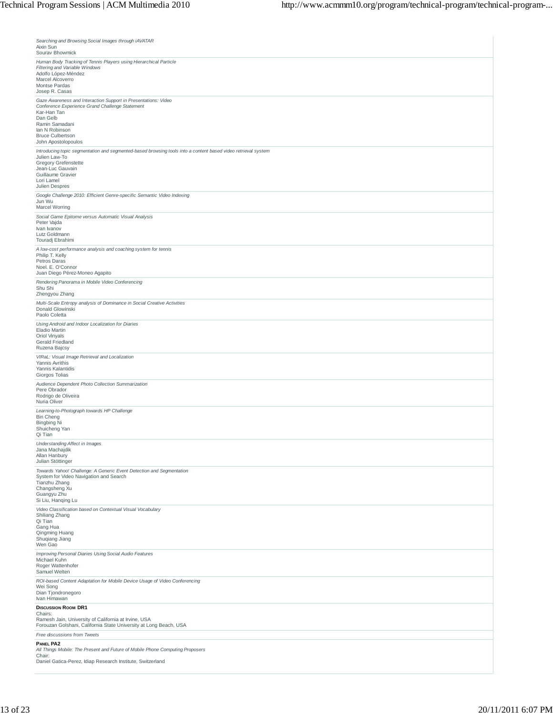| Searching and Browsing Social Images through iAVATAR<br>Aixin Sun                                                                                                                                                                      |
|----------------------------------------------------------------------------------------------------------------------------------------------------------------------------------------------------------------------------------------|
| Sourav Bhowmick                                                                                                                                                                                                                        |
| Human Body Tracking of Tennis Players using Hierarchical Particle<br>Filtering and Variable Windows<br>Adolfo López-Méndez<br>Marcel Alcoverro<br>Montse Pardas<br>Josep R. Casas                                                      |
| Gaze Awareness and Interaction Support in Presentations: Video<br>Conference Experience Grand Challenge Statement<br>Kar-Han Tan<br>Dan Gelb<br>Ramin Samadani<br>lan N Robinson<br><b>Bruce Culbertson</b><br>John Apostolopoulos     |
| Introducing topic segmentation and segmented-based browsing tools into a content based video retrieval system<br>Julien Law-To<br><b>Gregory Grefenstette</b><br>Jean-Luc Gauvain<br>Guillaume Gravier<br>Lori Lamel<br>Julien Despres |
| Google Challenge 2010: Efficient Genre-specific Semantic Video Indexing<br>Jun Wu<br><b>Marcel Worring</b>                                                                                                                             |
| Social Game Epitome versus Automatic Visual Analysis<br>Peter Vajda<br>Ivan Ivanov<br>Lutz Goldmann<br>Touradj Ebrahimi                                                                                                                |
| A low-cost performance analysis and coaching system for tennis<br>Philip T. Kelly<br>Petros Daras<br>Noel, E. O'Connor<br>Juan Diego Pérez-Moneo Agapito                                                                               |
| Rendering Panorama in Mobile Video Conferencing<br>Shu Shi<br>Zhengyou Zhang                                                                                                                                                           |
| Multi-Scale Entropy analysis of Dominance in Social Creative Activities<br>Donald Glowinski<br>Paolo Coletta                                                                                                                           |
| Using Android and Indoor Localization for Diaries<br>Eladio Martin<br>Oriol Vinyals<br>Gerald Friedland<br>Ruzena Bajcsy                                                                                                               |
| VIRaL: Visual Image Retrieval and Localization<br>Yannis Avrithis<br>Yannis Kalantidis<br>Giorgos Tolias                                                                                                                               |
| Audience Dependent Photo Collection Summarization<br>Pere Obrador<br>Rodrigo de Oliveira<br>Nuria Oliver                                                                                                                               |
| Learning-to-Photograph towards HP Challenge<br><b>Bin Cheng</b><br><b>Bingbing Ni</b><br>Shuicheng Yan<br>Qi Tian                                                                                                                      |
| Understanding Affect in Images<br>Jana Machajdik<br>Allan Hanbury<br>Julian Stöttinger                                                                                                                                                 |
| Towards Yahoo! Challenge: A Generic Event Detection and Segmentation<br>System for Video Navigation and Search<br>Tianzhu Zhang<br>Changsheng Xu<br>Guangyu Zhu<br>Si Liu, Hanqing Lu                                                  |
| Video Classification based on Contextual Visual Vocabulary<br>Shiliang Zhang<br>Qi Tian<br>Gang Hua<br>Qingming Huang<br>Shuqiang Jiang<br>Wen Gao                                                                                     |
| Improving Personal Diaries Using Social Audio Features<br>Michael Kuhn<br>Roger Wattenhofer<br>Samuel Welten                                                                                                                           |
| ROI-based Content Adaptation for Mobile Device Usage of Video Conferencing<br>Wei Song<br>Dian Tjondronegoro<br>Ivan Himawan                                                                                                           |
| <b>DISCUSSION ROOM DR1</b><br>Chairs:<br>Ramesh Jain, University of California at Irvine, USA<br>Forouzan Golshani, California State University at Long Beach, USA                                                                     |
| Free discussions from Tweets                                                                                                                                                                                                           |
| <b>PANEL PA2</b><br>All Things Mobile: The Present and Future of Mobile Phone Computing Proposers<br>Chair:<br>Daniel Gatica-Perez, Idiap Research Institute, Switzerland                                                              |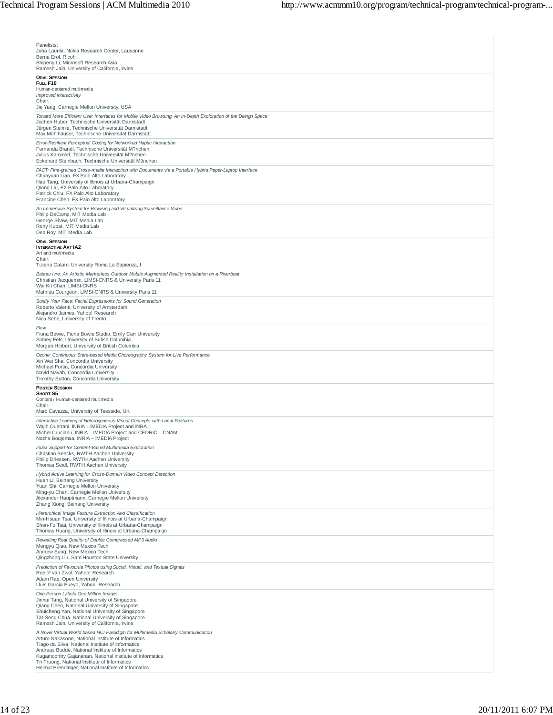| Panelists:<br>Juha Laurila, Nokia Research Center, Lausanne                                                                                                                                                                                                                                  |
|----------------------------------------------------------------------------------------------------------------------------------------------------------------------------------------------------------------------------------------------------------------------------------------------|
| Berna Erol, Ricoh<br>Shipeng Li, Microsoft Research Asia                                                                                                                                                                                                                                     |
| Ramesh Jain, University of California, Irvine<br><b>ORAL SESSION</b>                                                                                                                                                                                                                         |
| FULL F10<br>Human-centered multimedia                                                                                                                                                                                                                                                        |
| Improved interactivity<br>Chair:                                                                                                                                                                                                                                                             |
| Jie Yang, Carnegie Mellon University, USA                                                                                                                                                                                                                                                    |
| Toward More Efficient User Interfaces for Mobile Video Browsing: An In-Depth Exploration of the Design Space<br>Jochen Huber, Technische Universität Darmstadt                                                                                                                               |
| Jürgen Steimle, Technische Universität Darmstadt<br>Max Mühlhäuser, Technische Universität Darmstadt                                                                                                                                                                                         |
| Error-Resilient Perceptual Coding for Networked Haptic Interaction<br>Fernanda Brandi, Technische Universität M?nchen<br>Julius Kammerl, Technische Universität M?nchen<br>Eckehard Steinbach, Technische Universität München                                                                |
| FACT: Fine-grained Cross-media Interaction with Documents via a Portable Hybrid Paper-Laptop Interface<br>Chunyuan Liao, FX Palo Alto Laboratory                                                                                                                                             |
| Hao Tang, University of Illinois at Urbana-Champaign<br>Qiong Liu, FX Palo Alto Laboratory<br>Patrick Chiu, FX Palo Alto Laboratory<br>Francine Chen, FX Palo Alto Laboratory                                                                                                                |
| An Immersive System for Browsing and Visualizing Surveillance Video                                                                                                                                                                                                                          |
| Philip DeCamp, MIT Media Lab<br>George Shaw, MIT Media Lab<br>Rony Kubat, MIT Media Lab<br>Deb Roy, MIT Media Lab                                                                                                                                                                            |
| <b>ORAL SESSION</b><br><b>INTERACTIVE ART IA2</b>                                                                                                                                                                                                                                            |
| Art and multimedia<br>Chair:                                                                                                                                                                                                                                                                 |
| Tiziana Catarci University Roma La Sapienza, I<br>Bateau Ivre: An Artistic Markerless Outdoor Mobile Augmented Reality Installation on a Riverboat                                                                                                                                           |
| Christian Jacquemin, LIMSI-CNRS & University Paris 11<br>Wai Kit Chan, LIMSI-CNRS<br>Mathieu Courgeon, LIMSI-CNRS & University Paris 11                                                                                                                                                      |
| Sonify Your Face: Facial Expressions for Sound Generation<br>Roberto Valenti, University of Amsterdam                                                                                                                                                                                        |
| Alejandro Jaimes, Yahoo! Research<br>Nicu Sebe, University of Trento                                                                                                                                                                                                                         |
| Flow<br>Fiona Bowie, Fiona Bowie Studio, Emily Carr University<br>Sidney Fels, University of British Columbia<br>Morgan Hibbert, University of British Columbia                                                                                                                              |
| Ozone: Continuous State-based Media Choreography System for Live Performance<br>Xin Wei Sha, Concordia University<br>Michael Fortin, Concordia University<br>Navid Navab, Concordia University                                                                                               |
| Timothy Sutton, Concordia University<br><b>POSTER SESSION</b>                                                                                                                                                                                                                                |
| SHORT S5<br>Content / Human-centered multimedia<br>Chair:                                                                                                                                                                                                                                    |
| Marc Cavazza, University of Teesside, UK                                                                                                                                                                                                                                                     |
| Interactive Learning of Heterogeneous Visual Concepts with Local Features<br>Wajih Ouertani, INRIA - IMEDIA Project and INRA<br>Michel Crucianu, INRIA - IMEDIA Project and CEDRIC - CNAM<br>Nozha Boujemaa, INRIA – IMEDIA Project                                                          |
| Index Support for Content-Based Multimedia Exploration<br>Christian Beecks, RWTH Aachen University<br>Philip Driessen, RWTH Aachen University<br>Thomas Seidl, RWTH Aachen University                                                                                                        |
| Hybrid Active Learning for Cross-Domain Video Concept Detection                                                                                                                                                                                                                              |
| Huan Li, Beihang University<br>Yuan Shi, Carnegie Mellon University<br>Ming-yu Chen, Carnegie Mellon University<br>Alexander Hauptmann, Carnegie Mellon University<br>Zhang Xiong, Beihang University                                                                                        |
| Hierarchical Image Feature Extraction And Classification<br>Min-Hsuan Tsai, University of Illinois at Urbana-Champaign<br>Shen-Fu Tsai, University of Illinois at Urbana-Champaign<br>Thomas Huang, University of Illinois at Urbana-Champaign                                               |
| Revealing Real Quality of Double Compressed MP3 Audio<br>Mengyu Qiao, New Mexico Tech<br>Andrew Sung, New Mexico Tech<br>Qingzhong Liu, Sam Houston State University                                                                                                                         |
| Prediction of Favourite Photos using Social, Visual, and Textual Signals<br>Roelof van Zwol, Yahoo! Research<br>Adam Rae, Open University<br>Lluis Garcia Pueyo, Yahoo! Research                                                                                                             |
| One Person Labels One Million Images<br>Jinhui Tang, National University of Singapore<br>Qiang Chen, National University of Singapore<br>Shuicheng Yan, National University of Singapore<br>Tat-Seng Chua, National University of Singapore<br>Ramesh Jain, University of California, Irvine |
| A Novel Virtual World based HCI Paradigm for Multimedia Scholarly Communication<br>Arturo Nakasone, National Institute of Informatics<br>Tiago da Silva, National Institute of Informatics<br>Andreas Budde, National Institute of Informatics                                               |
| Kugamoorthy Gajananan, National Institute of Informatics<br>Tri Truong, National Institute of Informatics<br>Helmut Prendinger, National Institute of Informatics                                                                                                                            |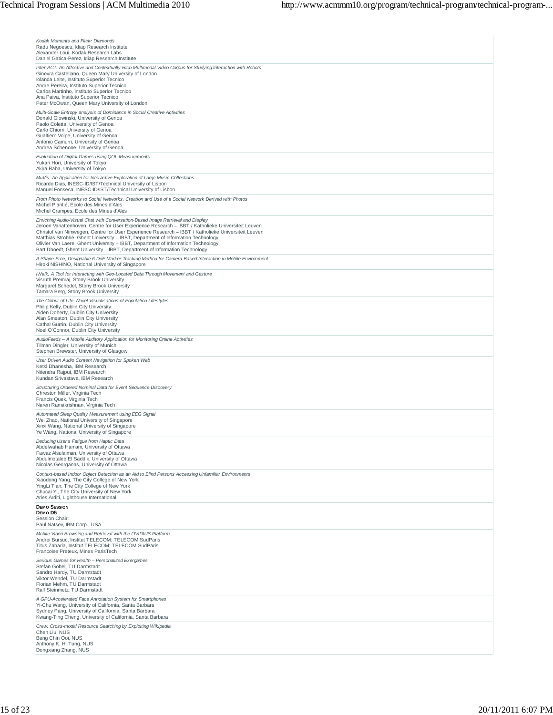| Kodak Moments and Flickr Diamonds<br>Radu Negoescu, Idiap Research Institute<br>Alexander Loui, Kodak Research Labs<br>Daniel Gatica-Perez, Idiap Research Institute                                                                                                                                                                                                                                                                                                                                                                            |
|-------------------------------------------------------------------------------------------------------------------------------------------------------------------------------------------------------------------------------------------------------------------------------------------------------------------------------------------------------------------------------------------------------------------------------------------------------------------------------------------------------------------------------------------------|
| Inter-ACT: An Affective and Contextually Rich Multimodal Video Corpus for Studying Interaction with Robots<br>Ginevra Castellano, Queen Mary University of London<br>Iolanda Leite, Instituto Superior Tecnico<br>Andre Pereira, Instituto Superior Tecnico<br>Carlos Martinho, Instituto Superior Tecnico<br>Ana Paiva, Instituto Superior Tecnico<br>Peter McOwan, Queen Mary University of London                                                                                                                                            |
| Multi-Scale Entropy analysis of Dominance in Social Creative Activities<br>Donald Glowinski, University of Genoa<br>Paolo Coletta, University of Genoa<br>Carlo Chiorri, University of Genoa<br>Gualtiero Volpe, University of Genoa<br>Antonio Camurri, University of Genoa<br>Andrea Schenone, University of Genoa                                                                                                                                                                                                                            |
| Evaluation of Digital Games using QOL Measurements<br>Yukari Hori, University of Tokyo<br>Akira Baba, University of Tokyo                                                                                                                                                                                                                                                                                                                                                                                                                       |
| MuVis: An Application for Interactive Exploration of Large Music Collections<br>Ricardo Dias, INESC-ID/IST/Technical University of Lisbon<br>Manuel Fonseca, INESC-ID/IST/Technical University of Lisbon                                                                                                                                                                                                                                                                                                                                        |
| From Photo Networks to Social Networks, Creation and Use of a Social Network Derived with Photos<br>Michel Plantié, Ecole des Mines d'Ales<br>Michel Crampes, Ecole des Mines d'Ales                                                                                                                                                                                                                                                                                                                                                            |
| Enriching Audio-Visual Chat with Conversation-Based Image Retrieval and Display<br>Jeroen Vanattenhoven, Centre for User Experience Research - IBBT / Katholieke Universiteit Leuven<br>Christof van Nimwegen, Centre for User Experience Research - IBBT / Katholieke Universiteit Leuven<br>Matthias Strobbe, Ghent University - IBBT, Department of Information Technology<br>Olivier Van Laere, Ghent University - IBBT, Department of Information Technology<br>Bart Dhoedt, Ghent University - IBBT, Department of Information Technology |
| A Shape-Free, Designable 6-DoF Marker Tracking Method for Camera-Based Interaction in Mobile Environment<br>Hiroki NISHINO, National University of Singapore                                                                                                                                                                                                                                                                                                                                                                                    |
| iWalk, A Tool for Interacting with Geo-Located Data Through Movement and Gesture<br>Visruth Premraj, Stony Brook University<br>Margaret Schedel, Stony Brook University<br>Tamara Berg, Stony Brook University                                                                                                                                                                                                                                                                                                                                  |
| The Colour of Life: Novel Visualisations of Population Lifestyles<br>Philip Kelly, Dublin City University<br>Aiden Doherty, Dublin City University<br>Alan Smeaton, Dublin City University<br>Cathal Gurrin, Dublin City University<br>Noel O'Connor, Dublin City University                                                                                                                                                                                                                                                                    |
| AudioFeeds - A Mobile Auditory Application for Monitoring Online Activities<br>Tilman Dingler, University of Munich<br>Stephen Brewster, University of Glasgow                                                                                                                                                                                                                                                                                                                                                                                  |
| User Driven Audio Content Navigation for Spoken Web<br>Ketki Dhanesha, IBM Research<br>Nitendra Rajput, IBM Research<br>Kundan Srivastava, IBM Research                                                                                                                                                                                                                                                                                                                                                                                         |
| Structuring Ordered Nominal Data for Event Sequence Discovery<br>Chreston Miller, Virginia Tech<br>Francis Quek, Virginia Tech<br>Naren Ramakrishnan, Virginia Tech                                                                                                                                                                                                                                                                                                                                                                             |
| Automated Sleep Quality Measurement using EEG Signal<br>Wei Zhao, National University of Singapore<br>Xinxi Wang, National University of Singapore<br>Ye Wang, National University of Singapore                                                                                                                                                                                                                                                                                                                                                 |
| Deducing User's Fatigue from Haptic Data<br>Abdelwahab Hamam, University of Ottawa<br>Fawaz Alsulaiman, University of Ottawa<br>Abdulmotaleb El Saddik, University of Ottawa<br>Nicolas Georganas, University of Ottawa                                                                                                                                                                                                                                                                                                                         |
| Context-based Indoor Object Detection as an Aid to Blind Persons Accessing Unfamiliar Environments<br>Xiaodong Yang, The City College of New York<br>YingLi Tian, The City College of New York<br>Chucai Yi, The City University of New York<br>Aries Arditi, Lighthouse International                                                                                                                                                                                                                                                          |
| <b>DEMO SESSION</b><br>DEMO D5<br>Session Chair:<br>Paul Natsev, IBM Corp., USA                                                                                                                                                                                                                                                                                                                                                                                                                                                                 |
| Mobile Video Browsing and Retrieval with the OVIDIUS Platform<br>Andrei Bursuc, Institut TELECOM; TELECOM SudParis<br>Titus Zaharia, Institut TELECOM; TELECOM SudParis<br>Francoise Preteux, Mines ParisTech                                                                                                                                                                                                                                                                                                                                   |
| Serious Games for Health - Personalized Exergames<br>Stefan Göbel, TU Darmstadt<br>Sandro Hardy, TU Darmstadt<br>Viktor Wendel, TU Darmstadt<br>Florian Mehm, TU Darmstadt<br>Ralf Steinmetz, TU Darmstadt                                                                                                                                                                                                                                                                                                                                      |
| A GPU-Accelerated Face Annotation System for Smartphones<br>Yi-Chu Wang, University of California, Santa Barbara<br>Sydney Pang, University of California, Santa Barbara<br>Kwang-Ting Cheng, University of California, Santa Barbara                                                                                                                                                                                                                                                                                                           |
| Crew: Cross-modal Resource Searching by Exploiting Wikipedia<br>Chen Liu, NUS<br>Beng Chin Ooi, NUS<br>Anthony K. H. Tung, NUS<br>Dongxiang Zhang, NUS                                                                                                                                                                                                                                                                                                                                                                                          |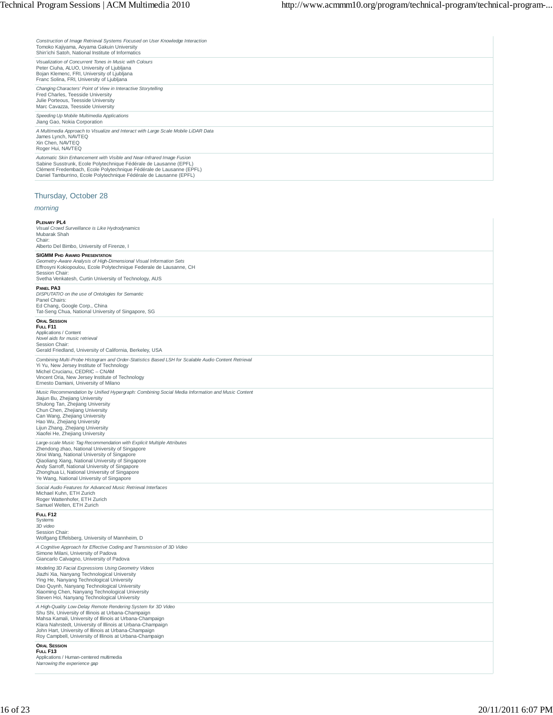*Construction of Image Retrieval Systems Focused on User Knowledge Interaction*<br>Tomoko Kajiyama, Aoyama Gakuin University<br>Shin'ichi Satoh, National Institute of Informatics

| STIITTICHE SALOH, INALIDHAL INSTITUTE OF INTOHINATICS                                                                                                                                                                                                                                    |
|------------------------------------------------------------------------------------------------------------------------------------------------------------------------------------------------------------------------------------------------------------------------------------------|
| Visualization of Concurrent Tones in Music with Colours<br>Peter Ciuha, ALUO, University of Ljubljana<br>Bojan Klemenc, FRI, University of Ljubljana<br>Franc Solina, FRI, University of Ljubljana                                                                                       |
| Changing Characters' Point of View in Interactive Storytelling<br>Fred Charles, Teesside University<br>Julie Porteous, Teesside University<br>Marc Cavazza, Teesside University                                                                                                          |
| Speeding Up Mobile Multimedia Applications<br>Jiang Gao, Nokia Corporation                                                                                                                                                                                                               |
| A Multimedia Approach to Visualize and Interact with Large Scale Mobile LiDAR Data<br>James Lynch, NAVTEQ<br>Xin Chen, NAVTEQ<br>Roger Hui, NAVTEQ                                                                                                                                       |
| Automatic Skin Enhancement with Visible and Near-Infrared Image Fusion<br>Sabine Susstrunk, Ecole Polytechnique Fédérale de Lausanne (EPFL)<br>Clément Fredembach, Ecole Polytechnique Fédérale de Lausanne (EPFL)<br>Daniel Tamburrino, Ecole Polytechnique Fédérale de Lausanne (EPFL) |

# Thursday, October 28

# *morning*

#### **PLENARY PL4**

| Visual Crowd Surveillance is Like Hydrodynamics<br>Mubarak Shah<br>Chair:<br>Alberto Del Bimbo, University of Firenze, I                                                                                                                                                                                                                                                       |
|--------------------------------------------------------------------------------------------------------------------------------------------------------------------------------------------------------------------------------------------------------------------------------------------------------------------------------------------------------------------------------|
| <b>SIGMM PHD AWARD PRESENTATION</b><br>Geometry-Aware Analysis of High-Dimensional Visual Information Sets<br>Effrosyni Kokiopoulou, Ecole Polytechnique Federale de Lausanne, CH<br>Session Chair:<br>Svetha Venkatesh, Curtin University of Technology, AUS                                                                                                                  |
| PANEL PA3<br>DISPUTATIO on the use of Ontologies for Semantic<br>Panel Chairs:<br>Ed Chang, Google Corp., China<br>Tat-Seng Chua, National University of Singapore, SG                                                                                                                                                                                                         |
| <b>ORAL SESSION</b><br>FULL F11<br>Applications / Content<br>Novel aids for music retrieval<br>Session Chair:<br>Gerald Friedland, University of California, Berkeley, USA                                                                                                                                                                                                     |
| Combining Multi-Probe Histogram and Order-Statistics Based LSH for Scalable Audio Content Retrieval<br>Yi Yu, New Jersey Institute of Technology<br>Michel Crucianu, CEDRIC - CNAM<br>Vincent Oria, New Jersey Institute of Technology<br>Ernesto Damiani, University of Milano                                                                                                |
| Music Recommendation by Unified Hypergraph: Combining Social Media Information and Music Content<br>Jiajun Bu, Zhejiang University<br>Shulong Tan, Zhejiang University<br>Chun Chen, Zhejiang University<br>Can Wang, Zhejiang University<br>Hao Wu, Zhejiang University<br>Lijun Zhang, Zhejiang University<br>Xiaofei He, Zhejiang University                                |
| Large-scale Music Tag Recommendation with Explicit Multiple Attributes<br>Zhendong zhao, National University of Singapore<br>Xinxi Wang, National University of Singapore<br>Qiaoliang Xiang, National University of Singapore<br>Andy Sarroff, National University of Singapore<br>Zhonghua Li, National University of Singapore<br>Ye Wang, National University of Singapore |
| Social Audio Features for Advanced Music Retrieval Interfaces<br>Michael Kuhn, ETH Zurich<br>Roger Wattenhofer, ETH Zurich<br>Samuel Welten, ETH Zurich                                                                                                                                                                                                                        |
| FULL F12<br>Systems<br>3D video<br>Session Chair:<br>Wolfgang Effelsberg, University of Mannheim, D                                                                                                                                                                                                                                                                            |
| A Cognitive Approach for Effective Coding and Transmission of 3D Video<br>Simone Milani, University of Padova<br>Giancarlo Calvagno, University of Padova                                                                                                                                                                                                                      |
| Modeling 3D Facial Expressions Using Geometry Videos<br>Jiazhi Xia, Nanyang Technological University<br>Ying He, Nanyang Technological University<br>Dao Quynh, Nanyang Technological University<br>Xiaoming Chen, Nanyang Technological University<br>Steven Hoi, Nanyang Technological University                                                                            |
| A High-Quality Low-Delay Remote Rendering System for 3D Video<br>Shu Shi, University of Illinois at Urbana-Champaign<br>Mahsa Kamali, University of Illinois at Urbana-Champaign<br>Klara Nahrstedt, University of Illinois at Urbana-Champaign<br>John Hart, University of Illinois at Urbana-Champaign<br>Roy Campbell, University of Illinois at Urbana-Champaign           |
| <b>ORAL SESSION</b><br>FULL F13<br>Applications / Human-centered multimedia<br>Narrowing the experience gap                                                                                                                                                                                                                                                                    |

 $\begin{array}{c} \hline \end{array}$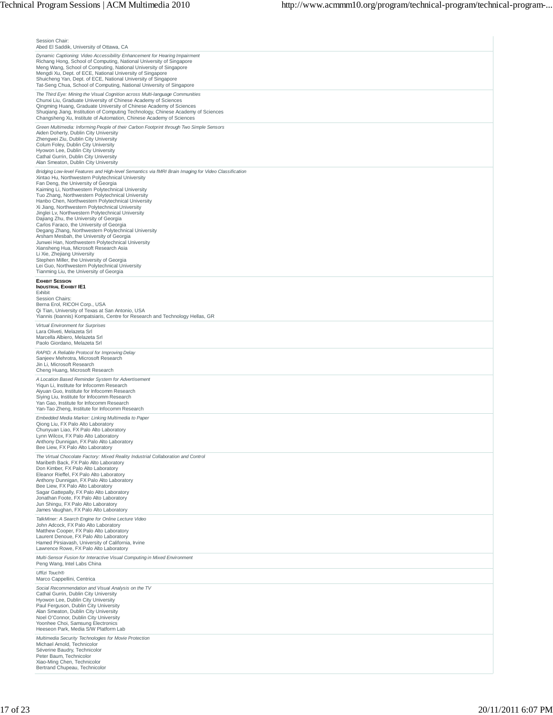| Session Chair:<br>Abed El Saddik, University of Ottawa, CA                                                                                                                                                                                                                                                                                                                                                                                                                                                                                                                                                                                                                                                                                                                                                                                                                                                                             |
|----------------------------------------------------------------------------------------------------------------------------------------------------------------------------------------------------------------------------------------------------------------------------------------------------------------------------------------------------------------------------------------------------------------------------------------------------------------------------------------------------------------------------------------------------------------------------------------------------------------------------------------------------------------------------------------------------------------------------------------------------------------------------------------------------------------------------------------------------------------------------------------------------------------------------------------|
| Dynamic Captioning: Video Accessibility Enhancement for Hearing Impairment<br>Richang Hong, School of Computing, National University of Singapore<br>Meng Wang, School of Computing, National University of Singapore<br>Mengdi Xu, Dept. of ECE, National University of Singapore<br>Shuicheng Yan, Dept. of ECE, National University of Singapore<br>Tat-Seng Chua, School of Computing, National University of Singapore                                                                                                                                                                                                                                                                                                                                                                                                                                                                                                            |
| The Third Eye: Mining the Visual Cognition across Multi-language Communities<br>Chunxi Liu, Graduate University of Chinese Academy of Sciences<br>Qingming Huang, Graduate University of Chinese Academy of Sciences<br>Shuqiang Jiang, Institution of Computing Technology, Chinese Academy of Sciences<br>Changsheng Xu, Institute of Automation, Chinese Academy of Sciences                                                                                                                                                                                                                                                                                                                                                                                                                                                                                                                                                        |
| Green Multimedia: Informing People of their Carbon Footprint through Two Simple Sensors<br>Aiden Doherty, Dublin City University<br>Zhengwei Ziu, Dublin City University<br>Colum Foley, Dublin City University<br>Hyowon Lee, Dublin City University<br>Cathal Gurrin, Dublin City University<br>Alan Smeaton, Dublin City University                                                                                                                                                                                                                                                                                                                                                                                                                                                                                                                                                                                                 |
| Bridging Low-level Features and High-level Semantics via fMRI Brain Imaging for Video Classification<br>Xintao Hu, Northwestern Polytechnical University<br>Fan Deng, the University of Georgia<br>Kaiming Li, Northwestern Polytechnical University<br>Tuo Zhang, Northwestern Polytechnical University<br>Hanbo Chen, Northwestern Polytechnical University<br>Xi Jiang, Northwestern Polytechnical University<br>Jinglei Lv, Northwestern Polytechnical University<br>Dajiang Zhu, the University of Georgia<br>Carlos Faraco, the University of Georgia<br>Degang Zhang, Northwestern Polytechnical University<br>Arsham Mesbah, the University of Georgia<br>Junwei Han, Northwestern Polytechnical University<br>Xiansheng Hua, Microsoft Research Asia<br>Li Xie, Zhejiang University<br>Stephen Miller, the University of Georgia<br>Lei Guo, Northwestern Polytechnical University<br>Tianming Liu, the University of Georgia |
| <b>EXHIBIT SESSION</b><br><b>INDUSTRIAL EXHIBIT IE1</b><br>Exhibit<br>Session Chairs:<br>Berna Erol, RICOH Corp., USA<br>Qi Tian, University of Texas at San Antonio, USA<br>Yiannis (Ioannis) Kompatsiaris, Centre for Research and Technology Hellas, GR                                                                                                                                                                                                                                                                                                                                                                                                                                                                                                                                                                                                                                                                             |
| Virtual Environment for Surprises<br>Lara Oliveti, Melazeta Srl<br>Marcella Albiero, Melazeta Srl<br>Paolo Giordano, Melazeta Srl                                                                                                                                                                                                                                                                                                                                                                                                                                                                                                                                                                                                                                                                                                                                                                                                      |
| RAPID: A Reliable Protocol for Improving Delay<br>Sanjeev Mehrotra, Microsoft Research<br>Jin Li, Microsoft Research<br>Cheng Huang, Microsoft Research                                                                                                                                                                                                                                                                                                                                                                                                                                                                                                                                                                                                                                                                                                                                                                                |
| A Location Based Reminder System for Advertisement<br>Yiqun Li, Institute for Infocomm Research<br>Aiyuan Guo, Institute for Infocomm Research<br>Siying Liu, Institute for Infocomm Research<br>Yan Gao, Institute for Infocomm Research<br>Yan-Tao Zheng, Institute for Infocomm Research                                                                                                                                                                                                                                                                                                                                                                                                                                                                                                                                                                                                                                            |
| Embedded Media Marker: Linking Multimedia to Paper<br>Qiong Liu, FX Palo Alto Laboratory<br>Chunyuan Liao, FX Palo Alto Laboratory<br>Lynn Wilcox, FX Palo Alto Laboratory<br>Anthony Dunnigan, FX Palo Alto Laboratory<br>Bee Liew, FX Palo Alto Laboratory                                                                                                                                                                                                                                                                                                                                                                                                                                                                                                                                                                                                                                                                           |
| The Virtual Chocolate Factory: Mixed Reality Industrial Collaboration and Control<br>Maribeth Back, FX Palo Alto Laboratory<br>Don Kimber, FX Palo Alto Laboratory<br>Eleanor Rieffel, FX Palo Alto Laboratory<br>Anthony Dunnigan, FX Palo Alto Laboratory<br>Bee Liew, FX Palo Alto Laboratory<br>Sagar Gattepally, FX Palo Alto Laboratory<br>Jonathan Foote, FX Palo Alto Laboratory<br>Jun Shingu, FX Palo Alto Laboratory<br>James Vaughan, FX Palo Alto Laboratory                                                                                                                                                                                                                                                                                                                                                                                                                                                              |
| TalkMiner: A Search Engine for Online Lecture Video<br>John Adcock, FX Palo Alto Laboratory<br>Matthew Cooper, FX Palo Alto Laboratory<br>Laurent Denoue, FX Palo Alto Laboratory<br>Hamed Pirsiavash, University of California, Irvine<br>Lawrence Rowe, FX Palo Alto Laboratory                                                                                                                                                                                                                                                                                                                                                                                                                                                                                                                                                                                                                                                      |
| Multi-Sensor Fusion for Interactive Visual Computing in Mixed Environment<br>Peng Wang, Intel Labs China                                                                                                                                                                                                                                                                                                                                                                                                                                                                                                                                                                                                                                                                                                                                                                                                                               |
| Uffizi Touch®<br>Marco Cappellini, Centrica<br>Social Recommendation and Visual Analysis on the TV                                                                                                                                                                                                                                                                                                                                                                                                                                                                                                                                                                                                                                                                                                                                                                                                                                     |
| Cathal Gurrin, Dublin City University<br>Hyowon Lee, Dublin City University<br>Paul Ferguson, Dublin City University<br>Alan Smeaton, Dublin City University<br>Noel O'Connor, Dublin City University<br>Yoonhee Choi, Samsung Electronics<br>Heeseon Park, Media S/W Platform Lab                                                                                                                                                                                                                                                                                                                                                                                                                                                                                                                                                                                                                                                     |
| Multimedia Security Technologies for Movie Protection<br>Michael Arnold, Technicolor<br>Séverine Baudry, Technicolor<br>Peter Baum, Technicolor<br>Xiao-Ming Chen, Technicolor<br>Bertrand Chupeau, Technicolor                                                                                                                                                                                                                                                                                                                                                                                                                                                                                                                                                                                                                                                                                                                        |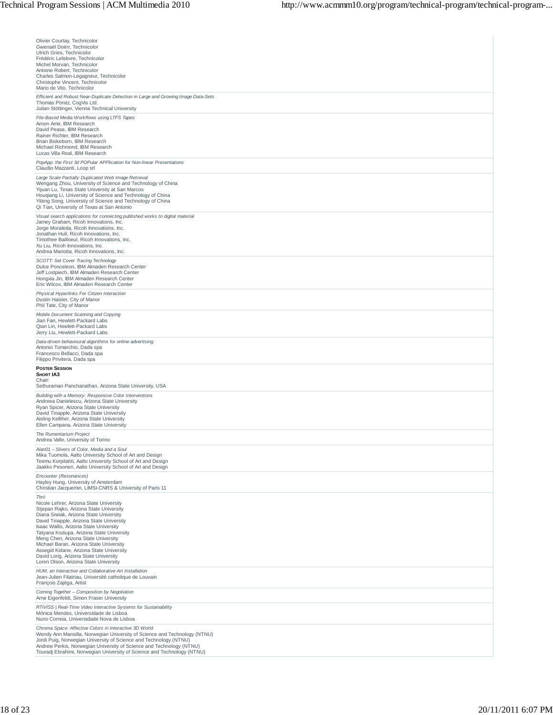| Olivier Courtay, Technicolor                                                                                                              |
|-------------------------------------------------------------------------------------------------------------------------------------------|
| Gwenaël Doërr, Technicolor                                                                                                                |
| Ulrich Gries, Technicolor<br>Frédéric Lefebvre, Technicolor                                                                               |
| Michel Morvan, Technicolor                                                                                                                |
| Antoine Robert, Technicolor<br>Charles Salmon-Legagneur, Technicolor                                                                      |
| Christophe Vincent, Technicolor<br>Mario de Vito, Technicolor                                                                             |
| Efficient and Robust Near-Duplicate Detection in Large and Growing Image Data-Sets                                                        |
| Thomas Pönitz, CogVis Ltd.<br>Julian Stöttinger, Vienna Technical University                                                              |
| File-Based Media Workflows using LTFS Tapes                                                                                               |
| Arnon Amir, IBM Research<br>David Pease, IBM Research                                                                                     |
| Rainer Richter, IBM Research<br>Brian Biskeborn, IBM Research                                                                             |
| Michael Richmond, IBM Research                                                                                                            |
| Lucas Villa Real, IBM Research<br>PopApp: the First 3d POPular APPlication for Non-linear Presentations                                   |
| Claudio Mazzanti, Loop srl                                                                                                                |
| Large Scale Partially Duplicated Web Image Retrieval<br>Wengang Zhou, University of Science and Technology of China                       |
| Yijuan Lu, Texas State University at San Marcos                                                                                           |
| Houqiang Li, University of Science and Technology of China<br>Yibing Song, University of Science and Technology of China                  |
| Qi Tian, University of Texas at San Antonio                                                                                               |
| Visual search applications for connecting published works to digital material<br>Jamey Graham, Ricoh Innovations, Inc.                    |
| Jorge Moraleda, Ricoh Innovations, Inc.<br>Jonathan Hull, Ricoh Innovations, Inc.                                                         |
| Timothee Bailloeul, Ricoh Innovations, Inc.                                                                                               |
| Xu Liu, Ricoh Innovations, Inc.<br>Andrea Mariotta, Ricoh Innovations, Inc.                                                               |
| SCOTT: Set Cover Tracing Technology                                                                                                       |
| Dulce Ponceleon, IBM Almaden Research Center<br>Jeff Lostpiech, IBM Almaden Research Center                                               |
| Hongxia Jin, IBM Almaden Research Center<br>Eric Wilcox, IBM Almaden Research Center                                                      |
| Physical Hyperlinks For Citizen Interaction                                                                                               |
| Dustin Haisler, City of Manor<br>Phil Tate, City of Manor                                                                                 |
| Mobile Document Scanning and Copying                                                                                                      |
| Jian Fan, Hewlett-Packard Labs                                                                                                            |
| Qian Lin, Hewlett-Packard Labs<br>Jerry Liu, Hewlett-Packard Labs                                                                         |
| Data-driven behavioural algorithms for online advertising                                                                                 |
| Antonio Tomarchio, Dada spa<br>Francesco Bellacci, Dada spa                                                                               |
| Filippo Privitera, Dada spa                                                                                                               |
| <b>POSTER SESSION</b><br><b>SHORT IA3</b>                                                                                                 |
| Chair:<br>Sethuraman Panchanathan, Arizona State University, USA                                                                          |
| Building with a Memory: Responsive Color Interventions                                                                                    |
| Andreea Danielescu, Arizona State University<br>Ryan Spicer, Arizona State University                                                     |
| David Tinapple, Arizona State University                                                                                                  |
| Aisling Kelliher, Arizona State University<br>Ellen Campana, Arizona State University                                                     |
| The Rumentarium Project                                                                                                                   |
| Andrea Valle, University of Torino<br>Alan01 - Slivers of Color, Media and a Soul                                                         |
| Mika Tuomola, Aalto University School of Art and Design                                                                                   |
| Teemu Korpilahti, Aalto University School of Art and Design<br>Jaakko Pesonen, Aalto University School of Art and Design                  |
| Encounter (Resonances)                                                                                                                    |
| Hayley Hung, University of Amsterdam<br>Christian Jacquemin, LIMSI-CNRS & University of Paris 11                                          |
| Thrii                                                                                                                                     |
| Nicole Lehrer, Arizona State University<br>Stjepan Rajko, Arizona State University                                                        |
| Diana Siwiak, Arizona State University<br>David Tinapple, Arizona State University                                                        |
| Isaac Wallis, Arizona State University                                                                                                    |
| Tatyana Koziupa, Arizona State University<br>Meng Chen, Arizona State University                                                          |
| Michael Baran, Arizona State University<br>Assegid Kidane, Arizona State University                                                       |
| David Lorig, Arizona State University                                                                                                     |
| Loren Olson, Arizona State University<br>HUM, an Interactive and Collaborative Art Installation                                           |
| Jean-Julien Filatriau, Université catholique de Louvain<br>François Zajéga, Artist                                                        |
| Coming Together - Composition by Negotiation                                                                                              |
| Arne Eigenfeldt, Simon Fraser University                                                                                                  |
| RTiVISS   Real-Time Video Interactive Systems for Sustainability<br>Mónica Mendes, Universidade de Lisboa                                 |
| Nuno Correia, Universidade Nova de Lisboa<br>Chroma Space: Affective Colors in Interactive 3D World                                       |
| Wendy Ann Mansilla, Norwegian University of Science and Technology (NTNU)                                                                 |
| Jordi Puig, Norwegian University of Science and Technology (NTNU)<br>Andrew Perkis, Norwegian University of Science and Technology (NTNU) |
| Touradj Ebrahimi, Norwegian University of Science and Technology (NTNU)                                                                   |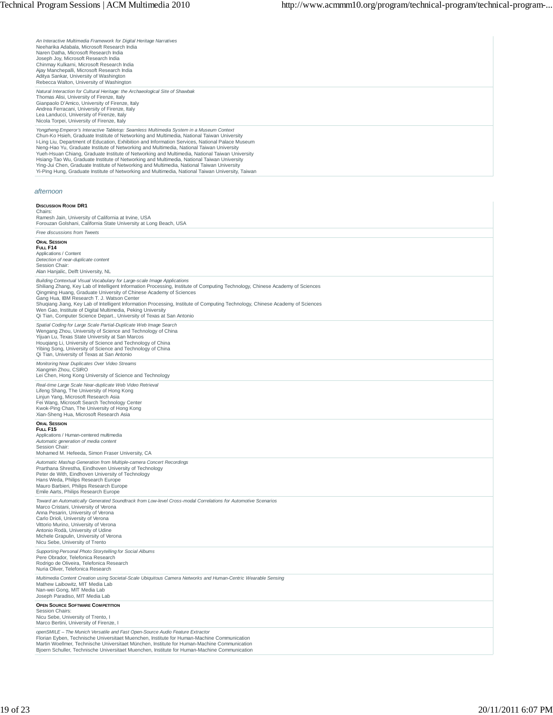*An Interactive Multimedia Framework for Digital Heritage Narratives* Neeharika Adabala, Microsoft Research India Naren Datha, Microsoft Research India Joseph Joy, Microsoft Research India Chinmay Kulkarni, Microsoft Research India Ajay Manchepalli, Microsoft Research India Aditya Sankar, University of Washington Rebecca Walton, University of Washington

*Natural Interaction for Cultural Heritage: the Archaeological Site of Shawbak* Thomas Alisi, University of Firenze, Italy Gianpaolo D'Amico, University of Firenze, Italy Andrea Ferracani, University of Firenze, Italy Lea Landucci, University of Firenze, Italy Nicola Torpei, University of Firenze, Italy

*Yongzheng Emperor's Interactive Tabletop: Seamless Multimedia System in a Museum Context*<br>Chun-Ko Hsieh, Graduate Institute of Networking and Multimedia, National Taiwan University<br>I-Ling Liu, Department of Education, Exh Yueh-Hsuan Chiang, Graduate Institute of Networking and Multimedia, National Taiwan University<br>Hsiang-Tao Wu, Graduate Institute of Networking and Multimedia, National Taiwan University<br>Ying-Jui Chen, Graduate Institute of

#### *afternoon*

#### **DISCUSSION ROOM DR1**

Chairs: Ramesh Jain, University of California at Irvine, USA Forouzan Golshani, California State University at Long Beach, USA *Free discussions from Tweets*

| Free discussions from Tweets                                                                                                                                                                                                                                                                                                                                                                                                                                                                                                                                                                           |
|--------------------------------------------------------------------------------------------------------------------------------------------------------------------------------------------------------------------------------------------------------------------------------------------------------------------------------------------------------------------------------------------------------------------------------------------------------------------------------------------------------------------------------------------------------------------------------------------------------|
| <b>ORAL SESSION</b><br>FULL F14<br>Applications / Content<br>Detection of near-duplicate content<br>Session Chair:<br>Alan Hanjalic, Delft University, NL                                                                                                                                                                                                                                                                                                                                                                                                                                              |
| Building Contextual Visual Vocabulary for Large-scale Image Applications<br>Shiliang Zhang, Key Lab of Intelligent Information Processing, Institute of Computing Technology, Chinese Academy of Sciences<br>Qingming Huang, Graduate University of Chinese Academy of Sciences<br>Gang Hua, IBM Research T. J. Watson Center<br>Shugiang Jiang, Key Lab of Intelligent Information Processing, Institute of Computing Technology, Chinese Academy of Sciences<br>Wen Gao, Institute of Digital Multimedia, Peking University<br>Qi Tian, Computer Science Depart., University of Texas at San Antonio |
| Spatial Coding for Large Scale Partial-Duplicate Web Image Search<br>Wengang Zhou, University of Science and Technology of China<br>Yijuan Lu. Texas State University at San Marcos<br>Hougiang Li, University of Science and Technology of China<br>Yibing Song, University of Science and Technology of China<br>Qi Tian, University of Texas at San Antonio                                                                                                                                                                                                                                         |
| Monitoring Near Duplicates Over Video Streams<br>Xiangmin Zhou, CSIRO<br>Lei Chen, Hong Kong University of Science and Technology                                                                                                                                                                                                                                                                                                                                                                                                                                                                      |
| Real-time Large Scale Near-duplicate Web Video Retrieval<br>Lifeng Shang, The University of Hong Kong<br>Linjun Yang, Microsoft Research Asia<br>Fei Wang, Microsoft Search Technology Center<br>Kwok-Ping Chan, The University of Hong Kong<br>Xian-Sheng Hua, Microsoft Research Asia                                                                                                                                                                                                                                                                                                                |
| <b>ORAL SESSION</b><br>FULL F15<br>Applications / Human-centered multimedia<br>Automatic generation of media content<br>Session Chair:<br>Mohamed M. Hefeeda, Simon Fraser University, CA                                                                                                                                                                                                                                                                                                                                                                                                              |
| Automatic Mashup Generation from Multiple-camera Concert Recordings<br>Prarthana Shrestha, Eindhoven University of Technology<br>Peter de With, Eindhoven University of Technology<br>Hans Weda, Philips Research Europe<br>Mauro Barbieri, Philips Research Europe<br>Emile Aarts, Philips Research Europe                                                                                                                                                                                                                                                                                            |
| Toward an Automatically Generated Soundtrack from Low-level Cross-modal Correlations for Automotive Scenarios<br>Marco Cristani, University of Verona<br>Anna Pesarin, University of Verona<br>Carlo Drioli, University of Verona<br>Vittorio Murino, University of Verona<br>Antonio Rodà, University of Udine<br>Michele Grapulin, University of Verona<br>Nicu Sebe, University of Trento                                                                                                                                                                                                           |
| Supporting Personal Photo Storytelling for Social Albums<br>Pere Obrador, Telefonica Research<br>Rodrigo de Oliveira, Telefonica Research<br>Nuria Oliver, Telefonica Research                                                                                                                                                                                                                                                                                                                                                                                                                         |
| Multimedia Content Creation using Societal-Scale Ubiquitous Camera Networks and Human-Centric Wearable Sensing<br>Mathew Laibowitz, MIT Media Lab<br>Nan-wei Gong, MIT Media Lab<br>Joseph Paradiso, MIT Media Lab                                                                                                                                                                                                                                                                                                                                                                                     |
| <b>OPEN SOURCE SOFTWARE COMPETITION</b><br>Session Chairs:<br>Nicu Sebe, University of Trento, I<br>Marco Bertini, University of Firenze, I                                                                                                                                                                                                                                                                                                                                                                                                                                                            |
| openSMILE - The Munich Versatile and Fast Open-Source Audio Feature Extractor<br>Florian Eyben, Technische Universitaet Muenchen, Institute for Human-Machine Communication<br>Martin Woellmer, Technische Universitaet München, Institute for Human-Machine Communication<br>Bjoern Schuller, Technische Universitaet Muenchen, Institute for Human-Machine Communication                                                                                                                                                                                                                             |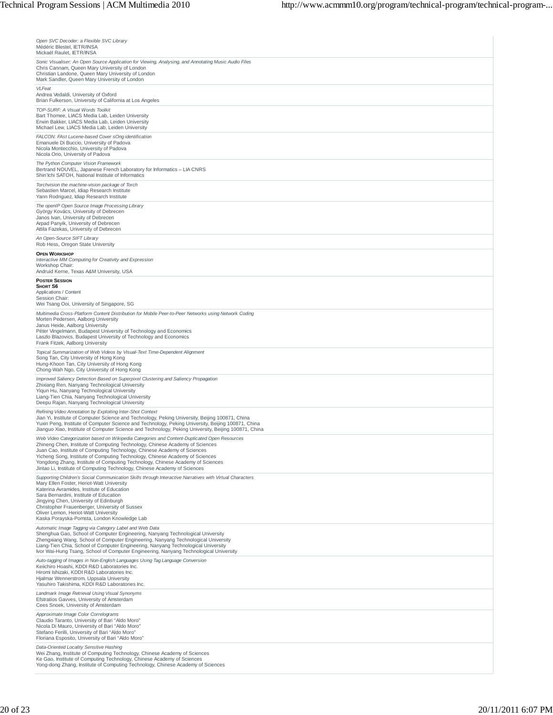| Open SVC Decoder: a Flexible SVC Library<br>Médéric Blestel, IETR/INSA<br>Mickaël Raulet, IETR/INSA                                                                                                                                                                                                                                                                                                                                                                                                     |
|---------------------------------------------------------------------------------------------------------------------------------------------------------------------------------------------------------------------------------------------------------------------------------------------------------------------------------------------------------------------------------------------------------------------------------------------------------------------------------------------------------|
| Sonic Visualiser: An Open Source Application for Viewing, Analysing, and Annotating Music Audio Files<br>Chris Cannam, Queen Mary University of London<br>Christian Landone, Queen Mary University of London<br>Mark Sandler, Queen Mary University of London                                                                                                                                                                                                                                           |
| VLFeat<br>Andrea Vedaldi, University of Oxford<br>Brian Fulkerson, University of California at Los Angeles                                                                                                                                                                                                                                                                                                                                                                                              |
| TOP-SURF: A Visual Words Toolkit<br>Bart Thomee, LIACS Media Lab, Leiden University<br>Erwin Bakker, LIACS Media Lab, Leiden University<br>Michael Lew, LIACS Media Lab, Leiden University                                                                                                                                                                                                                                                                                                              |
| FALCON: FAst Lucene-based Cover sOng identification<br>Emanuele Di Buccio, University of Padova<br>Nicola Montecchio, University of Padova<br>Nicola Orio, University of Padova                                                                                                                                                                                                                                                                                                                         |
| The Python Computer Vision Framework<br>Bertrand NOUVEL, Japanese French Laboratory for Informatics - LIA CNRS<br>Shin'lchi SATOH, National Institute of Informatics                                                                                                                                                                                                                                                                                                                                    |
| Torchvision the machine-vision package of Torch<br>Sebastien Marcel, Idiap Research Institute<br>Yann Rodriguez, Idiap Research Institute                                                                                                                                                                                                                                                                                                                                                               |
| The openIP Open Source Image Processing Library<br>György Kovács, University of Debrecen<br>Janos Ivan, University of Debrecen<br>Arpad Panyik, University of Debrecen<br>Attila Fazekas, University of Debrecen                                                                                                                                                                                                                                                                                        |
| An Open-Source SIFT Library<br>Rob Hess, Oregon State University                                                                                                                                                                                                                                                                                                                                                                                                                                        |
| <b>OPEN WORKSHOP</b><br>Interactive MM Computing for Creativity and Expression<br>Workshop Chair:<br>Andruid Kerne, Texas A&M University, USA                                                                                                                                                                                                                                                                                                                                                           |
| <b>POSTER SESSION</b><br>SHORT S6<br>Applications / Content<br>Session Chair:                                                                                                                                                                                                                                                                                                                                                                                                                           |
| Wei Tsang Ooi, University of Singapore, SG<br>Multimedia Cross-Platform Content Distribution for Mobile Peer-to-Peer Networks using Network Coding<br>Morten Pedersen, Aalborg University<br>Janus Heide, Aalborg University<br>Péter Vingelmann, Budapest University of Technology and Economics<br>Laszlo Blazovics, Budapest University of Technology and Economics<br>Frank Fitzek, Aalborg University                                                                                              |
| Topical Summarization of Web Videos by Visual-Text Time-Dependent Alignment<br>Song Tan, City University of Hong Kong<br>Hung-Khoon Tan, City University of Hong Kong<br>Chong-Wah Ngo, City University of Hong Kong                                                                                                                                                                                                                                                                                    |
| Improved Saliency Detection Based on Superpixel Clustering and Saliency Propagation<br>Zhixiang Ren, Nanyang Technological University<br>Yiqun Hu, Nanyang Technological University<br>Liang-Tien Chia, Nanyang Technological University<br>Deepu Rajan, Nanyang Technological University                                                                                                                                                                                                               |
| Refining Video Annotation by Exploiting Inter-Shot Context<br>Jian Yi, Institute of Computer Science and Technology, Peking University, Beijing 100871, China<br>Yuxin Peng, Institute of Computer Science and Technology, Peking University, Beijing 100871, China<br>Jianguo Xiao, Institute of Computer Science and Technology, Peking University, Beijing 100871, China                                                                                                                             |
| Web Video Categorization based on Wikipedia Categories and Content-Duplicated Open Resources<br>Zhineng Chen, Institute of Computing Technology, Chinese Academy of Sciences<br>Juan Cao, Institute of Computing Technology, Chinese Academy of Sciences<br>Yicheng Song, Institute of Computing Technology, Chinese Academy of Sciences<br>Yongdong Zhang, Institute of Computing Technology, Chinese Academy of Sciences<br>Jintao Li, Institute of Computing Technology, Chinese Academy of Sciences |
| Supporting Children's Social Communication Skills through Interactive Narratives with Virtual Characters<br>Mary Ellen Foster, Heriot-Watt University<br>Katerina Avramides, Institute of Education<br>Sara Bernardini, Institute of Education<br>Jinavina Chen, University of Edinburah<br>Christopher Frauenberger, University of Sussex<br>Oliver Lemon, Heriot-Watt University<br>Kaska Porayska-Pomsta, London Knowledge Lab                                                                       |
| Automatic Image Tagging via Category Label and Web Data<br>Shenghua Gao, School of Computer Engineering, Nanyang Technological University<br>Zhengxiang Wang, School of Computer Engineering, Nanyang Technological University<br>Liang-Tien Chia, School of Computer Engineering, Nanyang Technological University<br>Ivor Wai-Hung Tsang, School of Computer Engineering, Nanyang Technological University                                                                                            |
| Auto-tagging of Images in Non-English Languages Using Tag Language Conversion<br>Keiichiro Hoashi, KDDI R&D Laboratories Inc.<br>Hiromi Ishizaki, KDDI R&D Laboratories Inc.<br>Hjalmar Wennerstrom, Uppsala University<br>Yasuhiro Takishima, KDDI R&D Laboratories Inc.                                                                                                                                                                                                                               |
| Landmark Image Retrieval Using Visual Synonyms<br>Efstratios Gavves, University of Amsterdam<br>Cees Snoek, University of Amsterdam                                                                                                                                                                                                                                                                                                                                                                     |
| Approximate Image Color Correlograms<br>Claudio Taranto, University of Bari "Aldo Moro"<br>Nicola Di Mauro, University of Bari "Aldo Moro"<br>Stefano Ferilli, University of Bari "Aldo Moro"<br>Floriana Esposito, University of Bari "Aldo Moro"                                                                                                                                                                                                                                                      |
| Data-Oriented Locality Sensitive Hashing<br>Wei Zhang, Institute of Computing Technology, Chinese Academy of Sciences<br>Ke Gao, Institute of Computing Technology, Chinese Academy of Sciences<br>Yong-dong Zhang, Institute of Computing Technology, Chinese Academy of Sciences                                                                                                                                                                                                                      |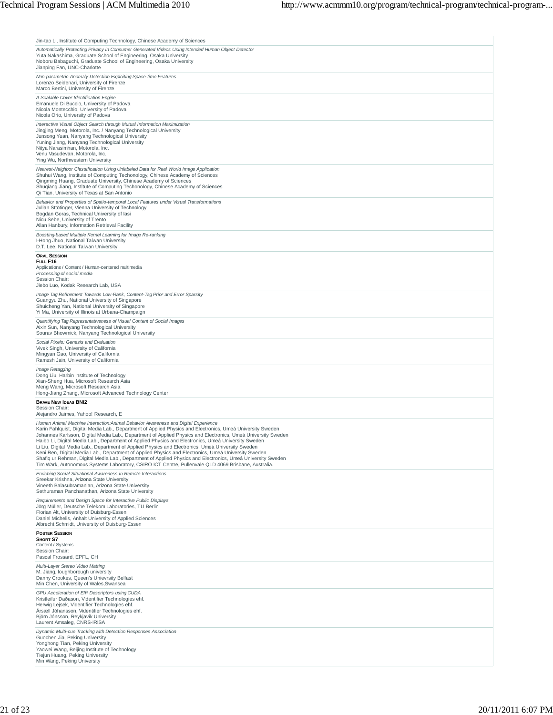| Jin-tao Li, Institute of Computing Technology, Chinese Academy of Sciences                                                                                                                                                                                                                                                                                                                                                                                                                                                                                                                                                                                                                                                                                                                                                                                |
|-----------------------------------------------------------------------------------------------------------------------------------------------------------------------------------------------------------------------------------------------------------------------------------------------------------------------------------------------------------------------------------------------------------------------------------------------------------------------------------------------------------------------------------------------------------------------------------------------------------------------------------------------------------------------------------------------------------------------------------------------------------------------------------------------------------------------------------------------------------|
| Automatically Protecting Privacy in Consumer Generated Videos Using Intended Human Object Detector<br>Yuta Nakashima, Graduate School of Engineering, Osaka University<br>Noboru Babaguchi, Graduate School of Engineering, Osaka University<br>Jianping Fan, UNC-Charlotte                                                                                                                                                                                                                                                                                                                                                                                                                                                                                                                                                                               |
| Non-parametric Anomaly Detection Exploiting Space-time Features<br>Lorenzo Seidenari, University of Firenze<br>Marco Bertini, University of Firenze                                                                                                                                                                                                                                                                                                                                                                                                                                                                                                                                                                                                                                                                                                       |
| A Scalable Cover Identification Engine<br>Emanuele Di Buccio, University of Padova<br>Nicola Montecchio, University of Padova<br>Nicola Orio, University of Padova                                                                                                                                                                                                                                                                                                                                                                                                                                                                                                                                                                                                                                                                                        |
| Interactive Visual Object Search through Mutual Information Maximization<br>Jingjing Meng, Motorola, Inc. / Nanyang Technological University<br>Junsong Yuan, Nanyang Technological University<br>Yuning Jiang, Nanyang Technological University<br>Nitya Narasimhan, Motorola, Inc.<br>Venu Vasudevan, Motorola, Inc.<br>Ying Wu, Northwestern University                                                                                                                                                                                                                                                                                                                                                                                                                                                                                                |
| Nearest-Neighbor Classification Using Unlabeled Data for Real World Image Application<br>Shuhui Wang, Institute of Computing Techonology, Chinese Academy of Sciences<br>Qingming Huang, Graduate University, Chinese Academy of Sciences<br>Shuqiang Jiang, Institute of Computing Techonology, Chinese Academy of Sciences<br>Qi Tian, University of Texas at San Antonio                                                                                                                                                                                                                                                                                                                                                                                                                                                                               |
| Behavior and Properties of Spatio-temporal Local Features under Visual Transformations<br>Julian Sttötinger, Vienna University of Technology<br>Bogdan Goras, Technical University of lasi<br>Nicu Sebe, University of Trento<br>Allan Hanbury, Information Retrieval Facility                                                                                                                                                                                                                                                                                                                                                                                                                                                                                                                                                                            |
| Boosting-based Multiple Kernel Learning for Image Re-ranking<br>I-Hong Jhuo, National Taiwan University<br>D.T. Lee, National Taiwan University                                                                                                                                                                                                                                                                                                                                                                                                                                                                                                                                                                                                                                                                                                           |
| <b>ORAL SESSION</b><br>FULL F16<br>Applications / Content / Human-centered multimedia<br>Processing of social media<br>Session Chair:<br>Jiebo Luo, Kodak Research Lab, USA                                                                                                                                                                                                                                                                                                                                                                                                                                                                                                                                                                                                                                                                               |
| Image Tag Refinement Towards Low-Rank, Content-Tag Prior and Error Sparsity<br>Guangyu Zhu, National University of Singapore<br>Shuicheng Yan, National University of Singapore<br>Yi Ma, University of Illinois at Urbana-Champaign                                                                                                                                                                                                                                                                                                                                                                                                                                                                                                                                                                                                                      |
| Quantifying Tag Representativeness of Visual Content of Social Images<br>Aixin Sun, Nanyang Technological University<br>Sourav Bhowmick, Nanyang Technological University                                                                                                                                                                                                                                                                                                                                                                                                                                                                                                                                                                                                                                                                                 |
| Social Pixels: Genesis and Evaluation<br>Vivek Singh, University of California<br>Mingyan Gao, University of California<br>Ramesh Jain, University of California                                                                                                                                                                                                                                                                                                                                                                                                                                                                                                                                                                                                                                                                                          |
| Image Retagging<br>Dong Liu, Harbin Institute of Technology<br>Xian-Sheng Hua, Microsoft Research Asia<br>Meng Wang, Microsoft Research Asia<br>Hong-Jiang Zhang, Microsoft Advanced Technology Center                                                                                                                                                                                                                                                                                                                                                                                                                                                                                                                                                                                                                                                    |
| <b>BRAVE NEW IDEAS BNI2</b><br>Session Chair:<br>Alejandro Jaimes, Yahoo! Research, E                                                                                                                                                                                                                                                                                                                                                                                                                                                                                                                                                                                                                                                                                                                                                                     |
| Human Animal Machine Interaction: Animal Behavior Awareness and Digital Experience<br>Karin Fahlquist, Digital Media Lab., Department of Applied Physics and Electronics, Umeá University Sweden<br>Johannes Karlsson, Digital Media Lab., Department of Applied Physics and Electronics, Umeá University Sweden<br>Haibo Li, Digital Media Lab., Department of Applied Physics and Electronics, Umeá University Sweden<br>Li Liu, Digital Media Lab., Department of Applied Physics and Electronics, Umeá University Sweden<br>Keni Ren, Digital Media Lab., Department of Applied Physics and Electronics, Umeá University Sweden<br>Shafiq ur Rehman, Digital Media Lab., Department of Applied Physics and Electronics, Umeá University Sweden<br>Tim Wark, Autonomous Systems Laboratory, CSIRO ICT Centre, Pullenvale QLD 4069 Brisbane, Australia. |
| Enriching Social Situational Awareness in Remote Interactions<br>Sreekar Krishna, Arizona State University<br>Vineeth Balasubramanian, Arizona State University<br>Sethuraman Panchanathan, Arizona State University                                                                                                                                                                                                                                                                                                                                                                                                                                                                                                                                                                                                                                      |
| Requirements and Design Space for Interactive Public Displays<br>Jörg Müller, Deutsche Telekom Laboratories, TU Berlin<br>Florian Alt, University of Duisburg-Essen<br>Daniel Michelis, Anhalt University of Applied Sciences<br>Albrecht Schmidt, University of Duisburg-Essen                                                                                                                                                                                                                                                                                                                                                                                                                                                                                                                                                                           |
| <b>POSTER SESSION</b><br>SHORT S7<br>Content / Systems<br>Session Chair:<br>Pascal Frossard, EPFL, CH                                                                                                                                                                                                                                                                                                                                                                                                                                                                                                                                                                                                                                                                                                                                                     |
| Multi-Layer Stereo Video Matting<br>M. Jiang, loughborough university<br>Danny Crookes, Queen's Unievrsity Belfast<br>Min Chen, University of Wales, Swansea                                                                                                                                                                                                                                                                                                                                                                                                                                                                                                                                                                                                                                                                                              |
| GPU Acceleration of Eff <sup>2</sup> Descriptors using CUDA<br>Kristleifur Daðason, Videntifier Technologies ehf.<br>Herwig Lejsek, Videntifier Technologies ehf.<br>Ársæll Jóhansson, Videntifier Technologies ehf.<br>Björn Jónsson, Reykjavik University<br>Laurent Amsaleg, CNRS-IRISA                                                                                                                                                                                                                                                                                                                                                                                                                                                                                                                                                                |
| Dynamic Multi-cue Tracking with Detection Responses Association<br>Guochen Jia, Peking University<br>Yonghong Tian, Peking University<br>Yaowei Wang, Beijing Institute of Technology<br>Tiejun Huang, Peking University<br>Min Wang, Peking University                                                                                                                                                                                                                                                                                                                                                                                                                                                                                                                                                                                                   |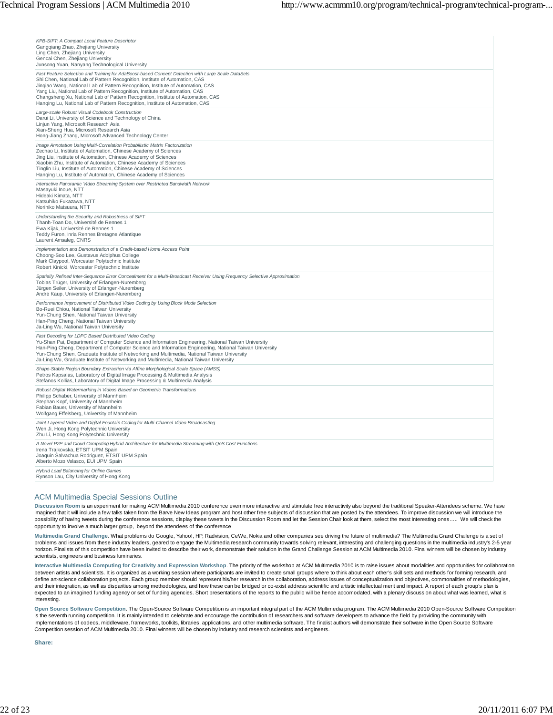| KPB-SIFT: A Compact Local Feature Descriptor<br>Gangqiang Zhao, Zhejiang University<br>Ling Chen, Zhejiang University<br>Gencai Chen, Zhejiang University<br>Junsong Yuan, Nanyang Technological University                                                                                                                                                                                                                                                                                                              |
|--------------------------------------------------------------------------------------------------------------------------------------------------------------------------------------------------------------------------------------------------------------------------------------------------------------------------------------------------------------------------------------------------------------------------------------------------------------------------------------------------------------------------|
| Fast Feature Selection and Training for AdaBoost-based Concept Detection with Large Scale DataSets<br>Shi Chen, National Lab of Pattern Recognition, Institute of Automation, CAS<br>Jingiao Wang, National Lab of Pattern Recognition, Institute of Automation, CAS<br>Yang Liu, National Lab of Pattern Recognition, Institute of Automation, CAS<br>Changsheng Xu, National Lab of Pattern Recognition, Institute of Automation, CAS<br>Hanging Lu, National Lab of Pattern Recognition, Institute of Automation, CAS |
| Large-scale Robust Visual Codebook Construction<br>Darui Li, University of Science and Technology of China<br>Linjun Yang, Microsoft Research Asia<br>Xian-Sheng Hua, Microsoft Research Asia<br>Hong-Jiang Zhang, Microsoft Advanced Technology Center                                                                                                                                                                                                                                                                  |
| Image Annotation Using Multi-Correlation Probabilistic Matrix Factorization<br>Zechao Li, Institute of Automation, Chinese Academy of Sciences<br>Jing Liu, Institute of Automation, Chinese Academy of Sciences<br>Xiaobin Zhu, Institute of Automation, Chinese Academy of Sciences<br>Tinglin Liu, Institute of Automation, Chinese Academy of Sciences<br>Hanqing Lu, Institute of Automation, Chinese Academy of Sciences                                                                                           |
| Interactive Panoramic Video Streaming System over Restricted Bandwidth Network<br>Masayuki Inoue, NTT<br>Hideaki Kimata, NTT<br>Katsuhiko Fukazawa, NTT<br>Norihiko Matsuura, NTT                                                                                                                                                                                                                                                                                                                                        |
| Understanding the Security and Robustness of SIFT<br>Thanh-Toan Do, Université de Rennes 1<br>Ewa Kijak, Université de Rennes 1<br>Teddy Furon, Inria Rennes Bretagne Atlantique<br>Laurent Amsaleg, CNRS                                                                                                                                                                                                                                                                                                                |
| Implementation and Demonstration of a Credit-based Home Access Point<br>Choong-Soo Lee, Gustavus Adolphus College<br>Mark Claypool, Worcester Polytechnic Institute<br>Robert Kinicki, Worcester Polytechnic Institute                                                                                                                                                                                                                                                                                                   |
| Spatially Refined Inter-Sequence Error Concealment for a Multi-Broadcast Receiver Using Frequency Selective Approximation<br>Tobias Trüger, University of Erlangen-Nuremberg<br>Jürgen Seiler, University of Erlangen-Nuremberg<br>André Kaup, University of Erlangen-Nuremberg                                                                                                                                                                                                                                          |
| Performance Improvement of Distributed Video Coding by Using Block Mode Selection<br>Bo-Ruei Chiou, National Taiwan University<br>Yun-Chung Shen, National Taiwan University<br>Han-Ping Cheng, National Taiwan University<br>Ja-Ling Wu, National Taiwan University                                                                                                                                                                                                                                                     |
| Fast Decoding for LDPC Based Distributed Video Coding<br>Yu-Shan Pai, Department of Computer Science and Information Engineering, National Taiwan University<br>Han-Ping Cheng, Department of Computer Science and Information Engineering, National Taiwan University<br>Yun-Chung Shen, Graduate Institute of Networking and Multimedia, National Taiwan University<br>Ja-Ling Wu, Graduate Institute of Networking and Multimedia, National Taiwan University                                                         |
| Shape-Stable Region Boundary Extraction via Affine Morphological Scale Space (AMSS)<br>Petros Kapsalas, Laboratory of Digital Image Processing & Multimedia Analysis<br>Stefanos Kollias, Laboratory of Digital Image Processing & Multimedia Analysis                                                                                                                                                                                                                                                                   |
| Robust Digital Watermarking in Videos Based on Geometric Transformations<br>Philipp Schaber, University of Mannheim<br>Stephan Kopf, University of Mannheim<br>Fabian Bauer, University of Mannheim<br>Wolfgang Effelsberg, University of Mannheim                                                                                                                                                                                                                                                                       |
| Joint Layered Video and Digital Fountain Coding for Multi-Channel Video Broadcasting<br>Wen Ji, Hong Kong Polytechnic University<br>Zhu Li, Hong Kong Polytechnic University                                                                                                                                                                                                                                                                                                                                             |
| A Novel P2P and Cloud Computing Hybrid Architecture for Multimedia Streaming with QoS Cost Functions<br>Irena Trajkovska, ETSIT UPM Spain<br>Joaquin Salvachua Rodriguez, ETSIT UPM Spain<br>Alberto Mozo Velasco, EUI UPM Spain                                                                                                                                                                                                                                                                                         |
| Hybrid Load Balancing for Online Games<br>Rynson Lau, City University of Hong Kong                                                                                                                                                                                                                                                                                                                                                                                                                                       |

#### ACM Multimedia Special Sessions Outline

**Discussion Room** is an experiment for making ACM Multimedia 2010 conference even more interactive and stimulate free interactivity also beyond the traditional Speaker-Attendees scheme. We have imagined that it will include a few talks taken from the Barve New Ideas program and host other free subjects of discussion that are posted by the attendees. To improve discussion we will introduce the possibility of having tweets during the conference sessions, display these tweets in the Discussion Room and let the Session Chair look at them, select the most interesting ones….. We will check the opportunity to involve a much larger group, beyond the attendees of the conference

**Multimedia Grand Challenge**. What problems do Google, Yahoo!, HP, Radvision, CeWe, Nokia and other companies see driving the future of multimedia? The Multimedia Grand Challenge is a set of problems and issues from these industry leaders, geared to engage the Multimedia research community towards solving relevant, interesting and challenging questions in the multimedia industry's 2-5 year<br>horizon. Finalists o scientists, engineers and business luminaries.

**Interactive Multimedia Computing for Creativity and Expression Workshop**. The priority of the workshop at ACM Multimedia 2010 is to raise issues about modalities and oppotunities for collaboration between artists and scientists. It is organized as a working session where participants are invited to create small groups where to think about each other's skill sets and methods for forming research, and define art-science collaboration projects. Each group member should represent his/her research in the collaboration, address issues of conceptualization and objectives, commonalities of methodologies, and their integration, as well as disparities among methodologies, and how these can be bridged or co-exist address scientific and artistic intellectual merit and impact. A report of each group's plan is expected to an imagined funding agency or set of funding agencies. Short presentations of the reports to the public will be hence accomodated, with a plenary discussion about what was learned, what is interesting.

**Open Source Software Competition**. The Open-Source Software Competition is an important integral part of the ACM Multimedia program. The ACM Multimedia 2010 Open-Source Software Competition is the seventh running competition. It is mainly intended to celebrate and encourage the contribution of researchers and software developers to advance the field by providing the community with implementations of codecs, middleware, frameworks, toolkits, libraries, applications, and other multimedia software. The finalist authors will demonstrate their software in the Open Source Software Competition session of ACM Multimedia 2010. Final winners will be chosen by industry and research scientists and engineers.

**Share:**